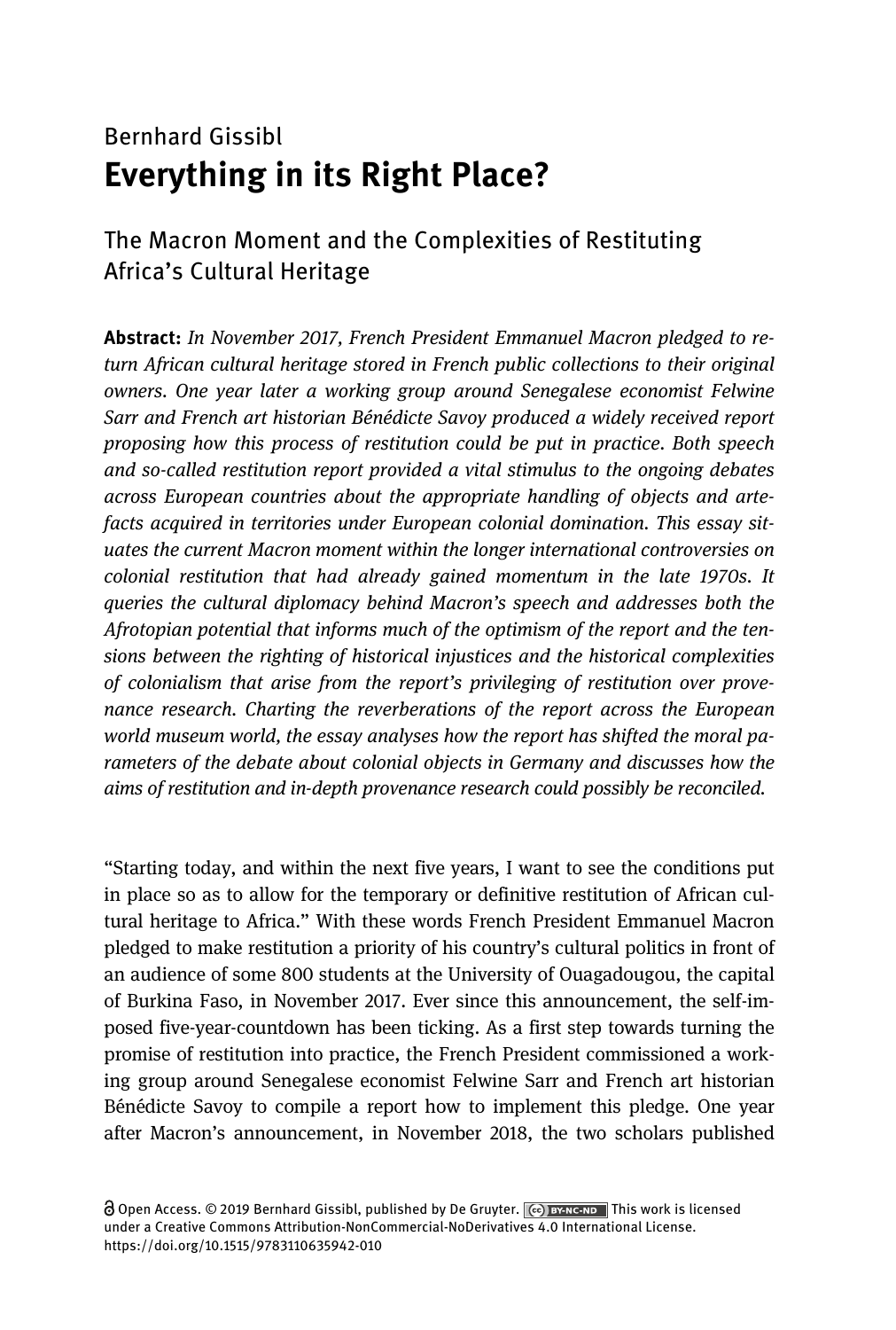## Bernhard Gissibl Everything in its Right Place?

#### The Macron Moment and the Complexities of Restituting Africa's Cultural Heritage

Abstract: In November 2017, French President Emmanuel Macron pledged to return African cultural heritage stored in French public collections to their original owners. One year later a working group around Senegalese economist Felwine Sarr and French art historian Bénédicte Savoy produced a widely received report proposing how this process of restitution could be put in practice. Both speech and so-called restitution report provided a vital stimulus to the ongoing debates across European countries about the appropriate handling of objects and artefacts acquired in territories under European colonial domination. This essay situates the current Macron moment within the longer international controversies on colonial restitution that had already gained momentum in the late 1970s. It queries the cultural diplomacy behind Macron's speech and addresses both the Afrotopian potential that informs much of the optimism of the report and the tensions between the righting of historical injustices and the historical complexities of colonialism that arise from the report's privileging of restitution over provenance research. Charting the reverberations of the report across the European world museum world, the essay analyses how the report has shifted the moral parameters of the debate about colonial objects in Germany and discusses how the aims of restitution and in-depth provenance research could possibly be reconciled.

"Starting today, and within the next five years, I want to see the conditions put in place so as to allow for the temporary or definitive restitution of African cultural heritage to Africa." With these words French President Emmanuel Macron pledged to make restitution a priority of his country's cultural politics in front of an audience of some 800 students at the University of Ouagadougou, the capital of Burkina Faso, in November 2017. Ever since this announcement, the self-imposed five-year-countdown has been ticking. As a first step towards turning the promise of restitution into practice, the French President commissioned a working group around Senegalese economist Felwine Sarr and French art historian Bénédicte Savoy to compile a report how to implement this pledge. One year after Macron's announcement, in November 2018, the two scholars published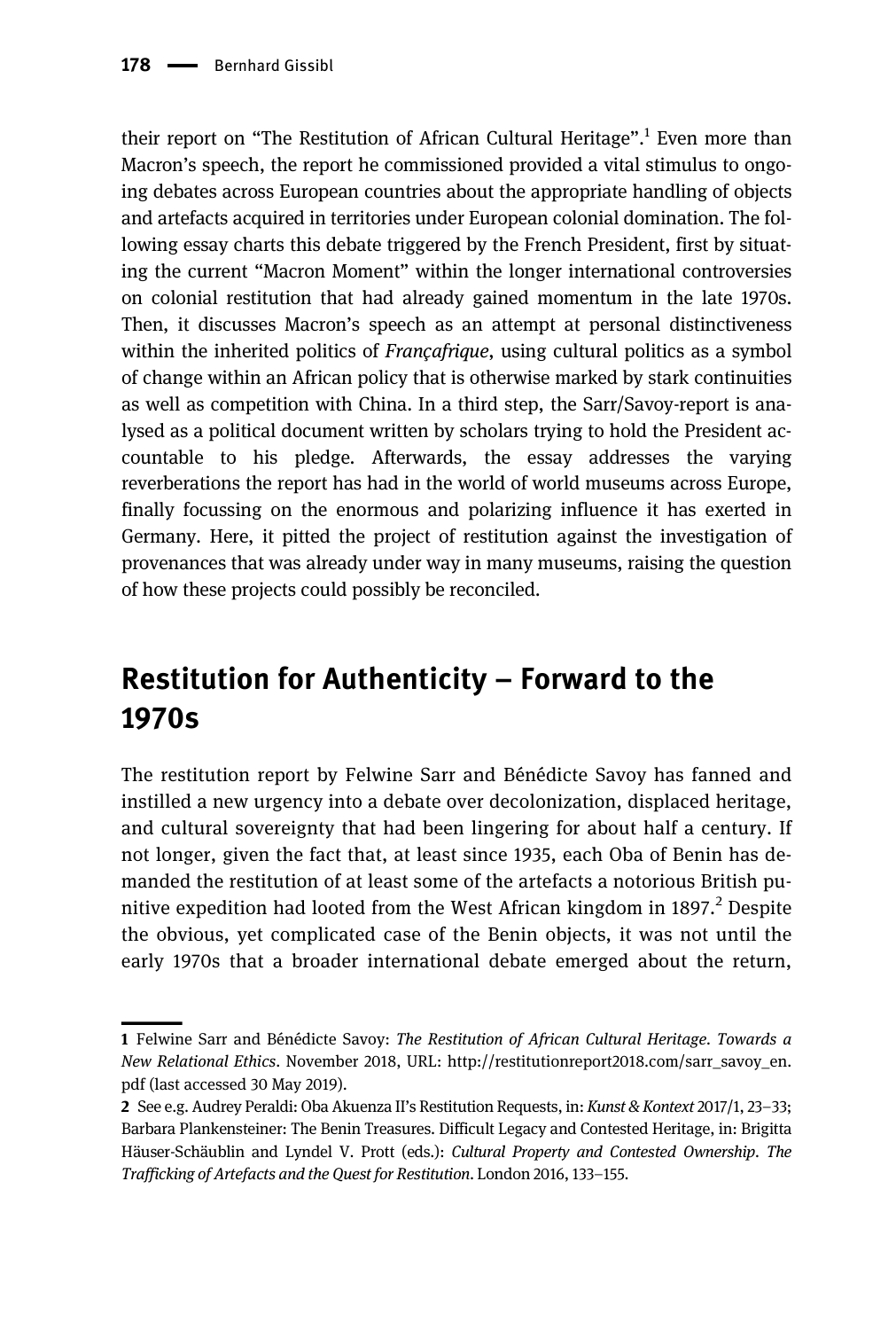their report on "The Restitution of African Cultural Heritage".<sup>1</sup> Even more than Macron's speech, the report he commissioned provided a vital stimulus to ongoing debates across European countries about the appropriate handling of objects and artefacts acquired in territories under European colonial domination. The following essay charts this debate triggered by the French President, first by situating the current "Macron Moment" within the longer international controversies on colonial restitution that had already gained momentum in the late 1970s. Then, it discusses Macron's speech as an attempt at personal distinctiveness within the inherited politics of *Francafrique*, using cultural politics as a symbol of change within an African policy that is otherwise marked by stark continuities as well as competition with China. In a third step, the Sarr/Savoy-report is analysed as a political document written by scholars trying to hold the President accountable to his pledge. Afterwards, the essay addresses the varying reverberations the report has had in the world of world museums across Europe, finally focussing on the enormous and polarizing influence it has exerted in Germany. Here, it pitted the project of restitution against the investigation of provenances that was already under way in many museums, raising the question of how these projects could possibly be reconciled.

# Restitution for Authenticity – Forward to the 1970s

The restitution report by Felwine Sarr and Bénédicte Savoy has fanned and instilled a new urgency into a debate over decolonization, displaced heritage, and cultural sovereignty that had been lingering for about half a century. If not longer, given the fact that, at least since 1935, each Oba of Benin has demanded the restitution of at least some of the artefacts a notorious British punitive expedition had looted from the West African kingdom in  $1897<sup>2</sup>$  Despite the obvious, yet complicated case of the Benin objects, it was not until the early 1970s that a broader international debate emerged about the return,

<sup>1</sup> Felwine Sarr and Bénédicte Savoy: The Restitution of African Cultural Heritage. Towards a New Relational Ethics. November 2018, URL: [http://restitutionreport2018.com/sarr\\_savoy\\_en.](http://restitutionreport2018.com/sarr_savoy_en.pdf) [pdf](http://restitutionreport2018.com/sarr_savoy_en.pdf) (last accessed 30 May 2019).

<sup>2</sup> See e.g. Audrey Peraldi: Oba Akuenza II's Restitution Requests, in: Kunst & Kontext 2017/1, 23–33; Barbara Plankensteiner: The Benin Treasures. Difficult Legacy and Contested Heritage, in: Brigitta Häuser-Schäublin and Lyndel V. Prott (eds.): Cultural Property and Contested Ownership. The Trafficking of Artefacts and the Quest for Restitution. London 2016, 133–155.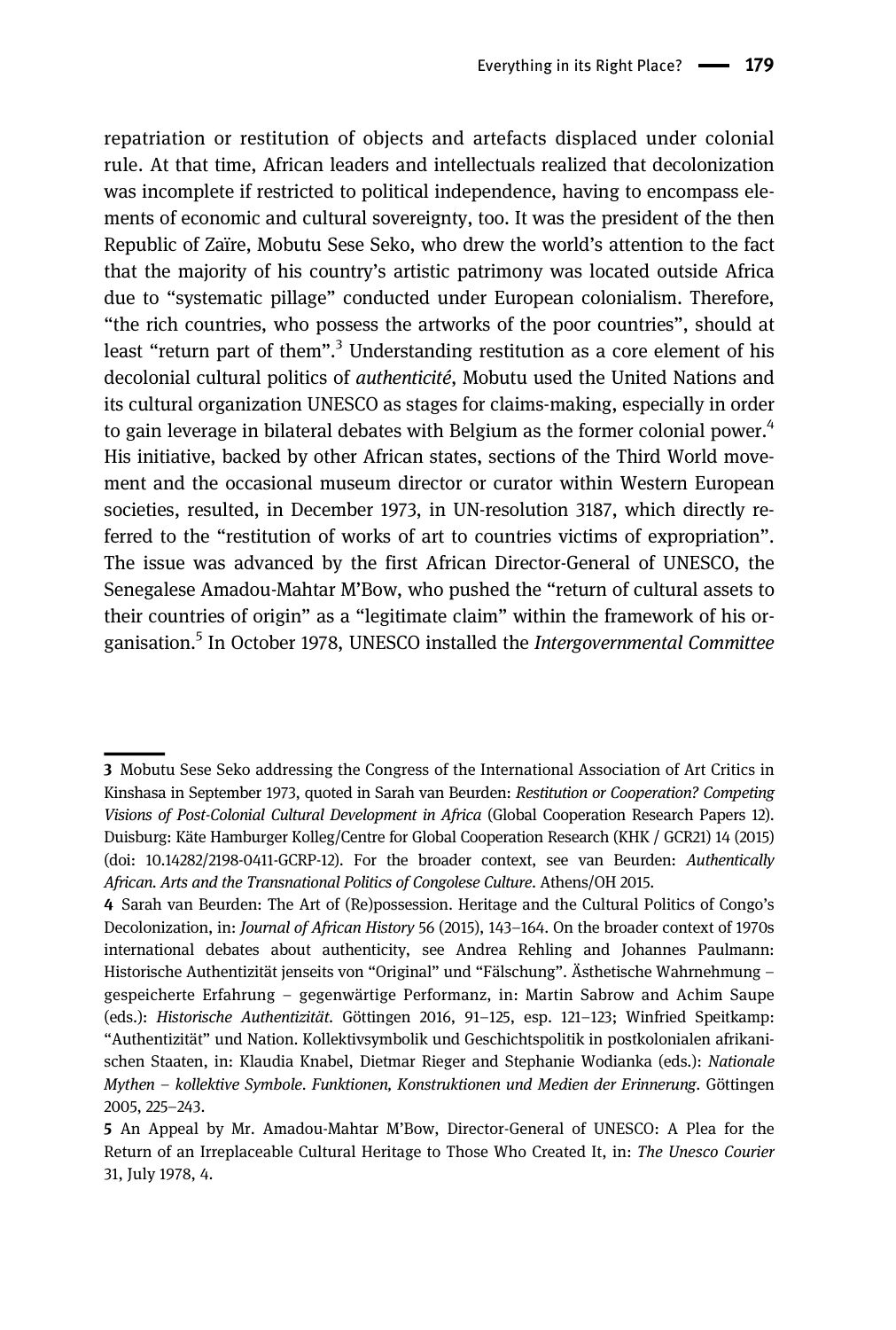repatriation or restitution of objects and artefacts displaced under colonial rule. At that time, African leaders and intellectuals realized that decolonization was incomplete if restricted to political independence, having to encompass elements of economic and cultural sovereignty, too. It was the president of the then Republic of Zaïre, Mobutu Sese Seko, who drew the world's attention to the fact that the majority of his country's artistic patrimony was located outside Africa due to "systematic pillage" conducted under European colonialism. Therefore, "the rich countries, who possess the artworks of the poor countries", should at least "return part of them".<sup>3</sup> Understanding restitution as a core element of his decolonial cultural politics of *authenticité*, Mobutu used the United Nations and its cultural organization UNESCO as stages for claims-making, especially in order to gain leverage in bilateral debates with Belgium as the former colonial power. $4$ His initiative, backed by other African states, sections of the Third World movement and the occasional museum director or curator within Western European societies, resulted, in December 1973, in UN-resolution 3187, which directly referred to the "restitution of works of art to countries victims of expropriation". The issue was advanced by the first African Director-General of UNESCO, the Senegalese Amadou-Mahtar M'Bow, who pushed the "return of cultural assets to their countries of origin" as a "legitimate claim" within the framework of his organisation.<sup>5</sup> In October 1978, UNESCO installed the *Intergovernmental Committee* 

<sup>3</sup> Mobutu Sese Seko addressing the Congress of the International Association of Art Critics in Kinshasa in September 1973, quoted in Sarah van Beurden: Restitution or Cooperation? Competing Visions of Post-Colonial Cultural Development in Africa (Global Cooperation Research Papers 12). Duisburg: Käte Hamburger Kolleg/Centre for Global Cooperation Research (KHK / GCR21) 14 (2015) (doi: 10.14282/2198-0411-GCRP-12). For the broader context, see van Beurden: Authentically African. Arts and the Transnational Politics of Congolese Culture. Athens/OH 2015.

<sup>4</sup> Sarah van Beurden: The Art of (Re)possession. Heritage and the Cultural Politics of Congo's Decolonization, in: Journal of African History 56 (2015), 143–164. On the broader context of 1970s international debates about authenticity, see Andrea Rehling and Johannes Paulmann: Historische Authentizität jenseits von "Original" und "Fälschung". Ästhetische Wahrnehmung – gespeicherte Erfahrung – gegenwärtige Performanz, in: Martin Sabrow and Achim Saupe (eds.): Historische Authentizität. Göttingen 2016, 91–125, esp. 121–123; Winfried Speitkamp: "Authentizität" und Nation. Kollektivsymbolik und Geschichtspolitik in postkolonialen afrikanischen Staaten, in: Klaudia Knabel, Dietmar Rieger and Stephanie Wodianka (eds.): Nationale Mythen – kollektive Symbole. Funktionen, Konstruktionen und Medien der Erinnerung. Göttingen 2005, 225–243.

<sup>5</sup> An Appeal by Mr. Amadou-Mahtar M'Bow, Director-General of UNESCO: A Plea for the Return of an Irreplaceable Cultural Heritage to Those Who Created It, in: The Unesco Courier 31, July 1978, 4.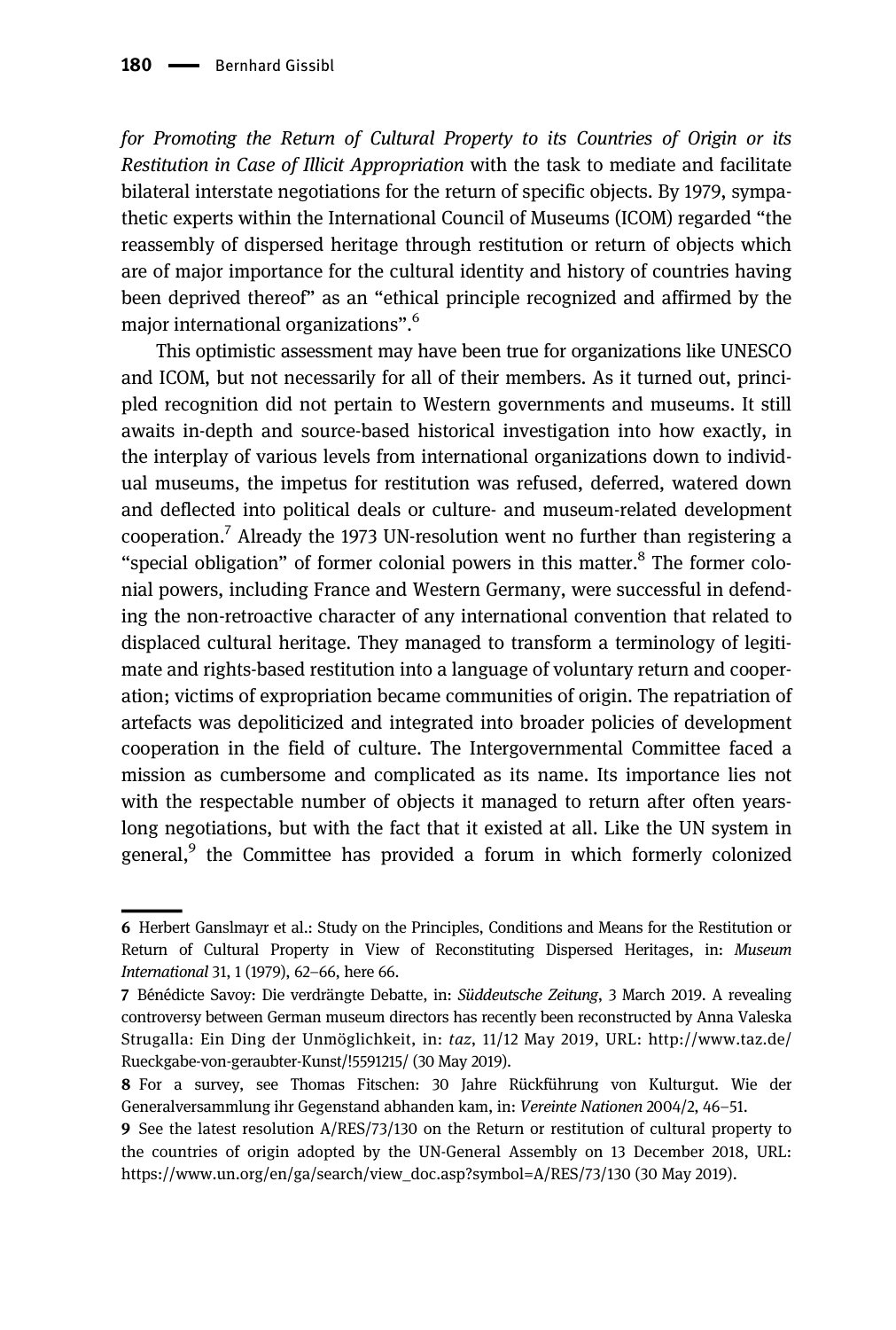for Promoting the Return of Cultural Property to its Countries of Origin or its Restitution in Case of Illicit Appropriation with the task to mediate and facilitate bilateral interstate negotiations for the return of specific objects. By 1979, sympathetic experts within the International Council of Museums (ICOM) regarded "the reassembly of dispersed heritage through restitution or return of objects which are of major importance for the cultural identity and history of countries having been deprived thereof" as an "ethical principle recognized and affirmed by the major international organizations". 6

This optimistic assessment may have been true for organizations like UNESCO and ICOM, but not necessarily for all of their members. As it turned out, principled recognition did not pertain to Western governments and museums. It still awaits in-depth and source-based historical investigation into how exactly, in the interplay of various levels from international organizations down to individual museums, the impetus for restitution was refused, deferred, watered down and deflected into political deals or culture- and museum-related development cooperation.7 Already the 1973 UN-resolution went no further than registering a "special obligation" of former colonial powers in this matter. $8$  The former colonial powers, including France and Western Germany, were successful in defending the non-retroactive character of any international convention that related to displaced cultural heritage. They managed to transform a terminology of legitimate and rights-based restitution into a language of voluntary return and cooperation; victims of expropriation became communities of origin. The repatriation of artefacts was depoliticized and integrated into broader policies of development cooperation in the field of culture. The Intergovernmental Committee faced a mission as cumbersome and complicated as its name. Its importance lies not with the respectable number of objects it managed to return after often yearslong negotiations, but with the fact that it existed at all. Like the UN system in general,<sup>9</sup> the Committee has provided a forum in which formerly colonized

<sup>6</sup> Herbert Ganslmayr et al.: Study on the Principles, Conditions and Means for the Restitution or Return of Cultural Property in View of Reconstituting Dispersed Heritages, in: Museum International 31, 1 (1979), 62–66, here 66.

<sup>7</sup> Bénédicte Savoy: Die verdrängte Debatte, in: Süddeutsche Zeitung, 3 March 2019. A revealing controversy between German museum directors has recently been reconstructed by Anna Valeska Strugalla: Ein Ding der Unmöglichkeit, in: taz, 11/12 May 2019, URL: [http://www.taz.de/](http://www.taz.de/Rueckgabe-von-geraubter-Kunst/!5591215/) [Rueckgabe-von-geraubter-Kunst/!5591215/](http://www.taz.de/Rueckgabe-von-geraubter-Kunst/!5591215/) (30 May 2019).

<sup>8</sup> For a survey, see Thomas Fitschen: 30 Jahre Rückführung von Kulturgut. Wie der Generalversammlung ihr Gegenstand abhanden kam, in: Vereinte Nationen 2004/2, 46–51.

<sup>9</sup> See the latest resolution A/RES/73/130 on the Return or restitution of cultural property to the countries of origin adopted by the UN-General Assembly on 13 December 2018, URL: [https://www.un.org/en/ga/search/view\\_doc.asp?symbol=A/RES/73/130](https://www.un.org/en/ga/search/view_doc.asp?symbol=A/RES/73/130) (30 May 2019).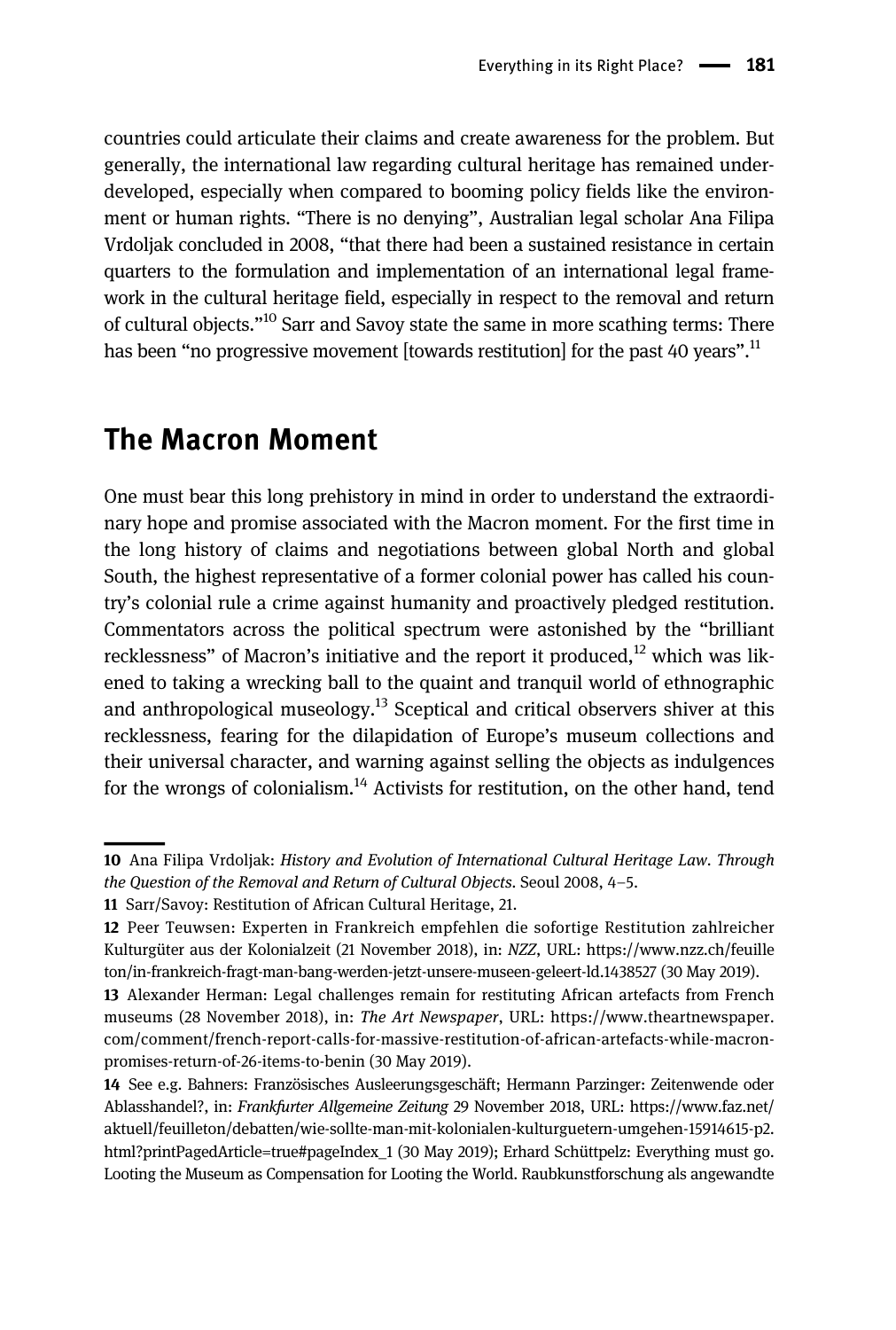countries could articulate their claims and create awareness for the problem. But generally, the international law regarding cultural heritage has remained underdeveloped, especially when compared to booming policy fields like the environment or human rights. "There is no denying", Australian legal scholar Ana Filipa Vrdoljak concluded in 2008, "that there had been a sustained resistance in certain quarters to the formulation and implementation of an international legal framework in the cultural heritage field, especially in respect to the removal and return of cultural objects."<sup>10</sup> Sarr and Savoy state the same in more scathing terms: There has been "no progressive movement [towards restitution] for the past 40 years".<sup>11</sup>

#### The Macron Moment

One must bear this long prehistory in mind in order to understand the extraordinary hope and promise associated with the Macron moment. For the first time in the long history of claims and negotiations between global North and global South, the highest representative of a former colonial power has called his country's colonial rule a crime against humanity and proactively pledged restitution. Commentators across the political spectrum were astonished by the "brilliant recklessness" of Macron's initiative and the report it produced,  $12$  which was likened to taking a wrecking ball to the quaint and tranquil world of ethnographic and anthropological museology.<sup>13</sup> Sceptical and critical observers shiver at this recklessness, fearing for the dilapidation of Europe's museum collections and their universal character, and warning against selling the objects as indulgences for the wrongs of colonialism.<sup>14</sup> Activists for restitution, on the other hand, tend

<sup>10</sup> Ana Filipa Vrdoljak: History and Evolution of International Cultural Heritage Law. Through the Question of the Removal and Return of Cultural Objects. Seoul 2008, 4–5.

<sup>11</sup> Sarr/Savoy: Restitution of African Cultural Heritage, 21.

<sup>12</sup> Peer Teuwsen: Experten in Frankreich empfehlen die sofortige Restitution zahlreicher Kulturgüter aus der Kolonialzeit (21 November 2018), in: NZZ, URL: [https://www.nzz.ch/feuille](https://www.nzz.ch/feuilleton/in-frankreich-fragt-man-bang-werden-jetzt-unsere-museen-geleert-ld.1438527) [ton/in-frankreich-fragt-man-bang-werden-jetzt-unsere-museen-geleert-ld.1438527](https://www.nzz.ch/feuilleton/in-frankreich-fragt-man-bang-werden-jetzt-unsere-museen-geleert-ld.1438527) (30 May 2019).

<sup>13</sup> Alexander Herman: Legal challenges remain for restituting African artefacts from French museums (28 November 2018), in: The Art Newspaper, URL: [https://www.theartnewspaper.](https://www.theartnewspaper.com/comment/french-report-calls-for-massive-restitution-of-african-artefacts-while-macron-promises-return-of-26-items-to-benin) [com/comment/french-report-calls-for-massive-restitution-of-african-artefacts-while-macron](https://www.theartnewspaper.com/comment/french-report-calls-for-massive-restitution-of-african-artefacts-while-macron-promises-return-of-26-items-to-benin)[promises-return-of-26-items-to-benin](https://www.theartnewspaper.com/comment/french-report-calls-for-massive-restitution-of-african-artefacts-while-macron-promises-return-of-26-items-to-benin) (30 May 2019).

<sup>14</sup> See e.g. Bahners: Französisches Ausleerungsgeschäft; Hermann Parzinger: Zeitenwende oder Ablasshandel?, in: Frankfurter Allgemeine Zeitung 29 November 2018, URL: [https://www.faz.net/](https://www.faz.net/aktuell/feuilleton/debatten/wie-sollte-man-mit-kolonialen-kulturguetern-umgehen-15914615-p2.html?printPagedArticle=true#pageIndex_1) [aktuell/feuilleton/debatten/wie-sollte-man-mit-kolonialen-kulturguetern-umgehen-15914615-p2.](https://www.faz.net/aktuell/feuilleton/debatten/wie-sollte-man-mit-kolonialen-kulturguetern-umgehen-15914615-p2.html?printPagedArticle=true#pageIndex_1) [html?printPagedArticle=true#pageIndex\\_1](https://www.faz.net/aktuell/feuilleton/debatten/wie-sollte-man-mit-kolonialen-kulturguetern-umgehen-15914615-p2.html?printPagedArticle=true#pageIndex_1) (30 May 2019); Erhard Schüttpelz: Everything must go. Looting the Museum as Compensation for Looting the World. Raubkunstforschung als angewandte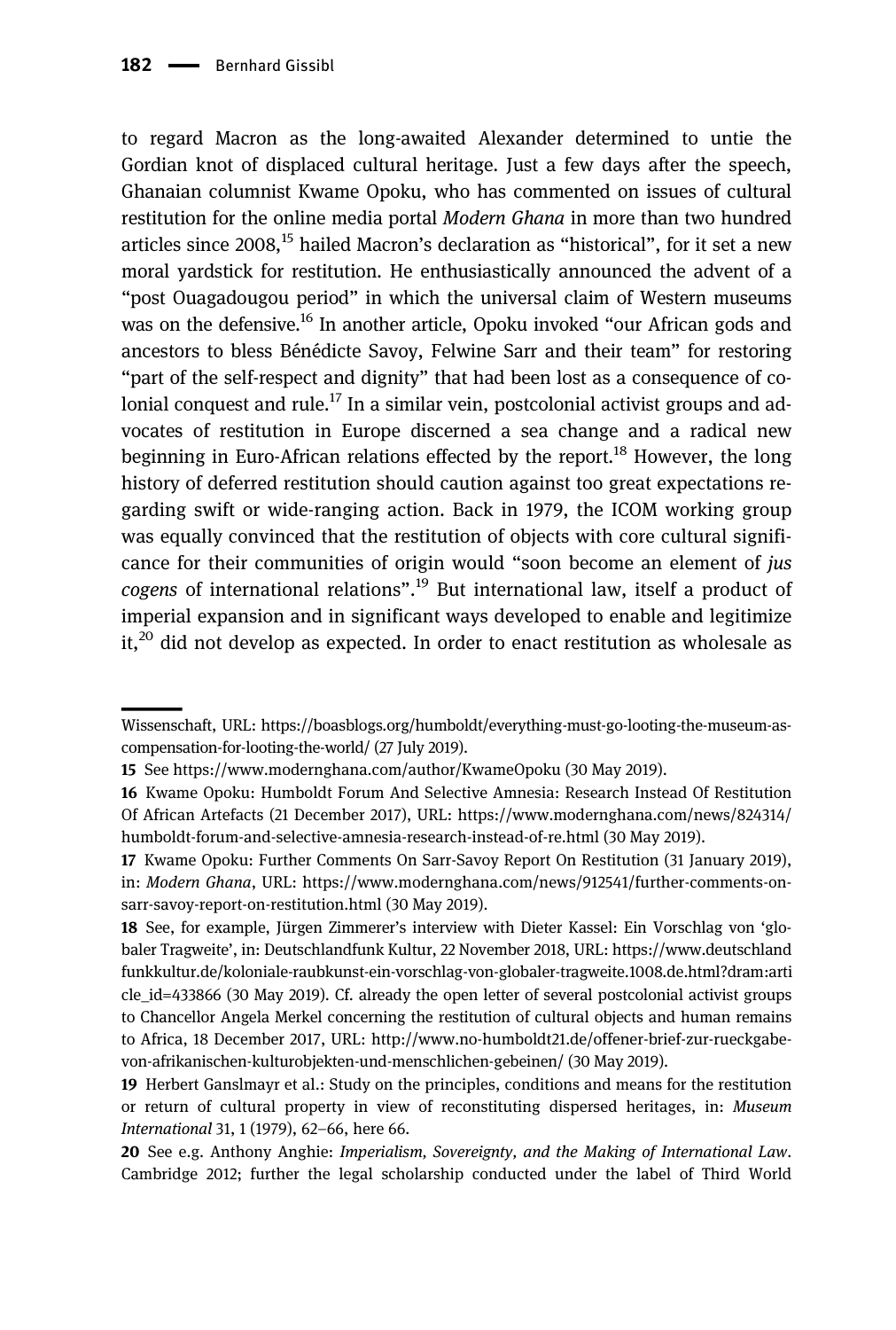to regard Macron as the long-awaited Alexander determined to untie the Gordian knot of displaced cultural heritage. Just a few days after the speech, Ghanaian columnist Kwame Opoku, who has commented on issues of cultural restitution for the online media portal Modern Ghana in more than two hundred articles since  $2008$ ,<sup>15</sup> hailed Macron's declaration as "historical", for it set a new moral yardstick for restitution. He enthusiastically announced the advent of a "post Ouagadougou period" in which the universal claim of Western museums was on the defensive.<sup>16</sup> In another article, Opoku invoked "our African gods and ancestors to bless Bénédicte Savoy, Felwine Sarr and their team" for restoring "part of the self-respect and dignity" that had been lost as a consequence of colonial conquest and rule.<sup>17</sup> In a similar vein, postcolonial activist groups and advocates of restitution in Europe discerned a sea change and a radical new beginning in Euro-African relations effected by the report.<sup>18</sup> However, the long history of deferred restitution should caution against too great expectations regarding swift or wide-ranging action. Back in 1979, the ICOM working group was equally convinced that the restitution of objects with core cultural significance for their communities of origin would "soon become an element of jus cogens of international relations".<sup>19</sup> But international law, itself a product of imperial expansion and in significant ways developed to enable and legitimize  $it<sup>20</sup>$  did not develop as expected. In order to enact restitution as wholesale as

Wissenschaft, URL: [https://boasblogs.org/humboldt/everything-must-go-looting-the-museum-as](https://boasblogs.org/humboldt/everything-must-go-looting-the-museum-as-compensation-for-looting-the-world/)[compensation-for-looting-the-world/](https://boasblogs.org/humboldt/everything-must-go-looting-the-museum-as-compensation-for-looting-the-world/) (27 July 2019).

<sup>15</sup> See<https://www.modernghana.com/author/KwameOpoku> (30 May 2019).

<sup>16</sup> Kwame Opoku: Humboldt Forum And Selective Amnesia: Research Instead Of Restitution Of African Artefacts (21 December 2017), URL: [https://www.modernghana.com/news/824314/](https://www.modernghana.com/news/824314/humboldt-forum-and-selective-amnesia-research-instead-of-re.html) [humboldt-forum-and-selective-amnesia-research-instead-of-re.html](https://www.modernghana.com/news/824314/humboldt-forum-and-selective-amnesia-research-instead-of-re.html) (30 May 2019).

<sup>17</sup> Kwame Opoku: Further Comments On Sarr-Savoy Report On Restitution (31 January 2019), in: Modern Ghana, URL: [https://www.modernghana.com/news/912541/further-comments-on](https://www.modernghana.com/news/912541/further-comments-on-sarr-savoy-report-on-restitution.html)[sarr-savoy-report-on-restitution.html](https://www.modernghana.com/news/912541/further-comments-on-sarr-savoy-report-on-restitution.html) (30 May 2019).

<sup>18</sup> See, for example, Jürgen Zimmerer's interview with Dieter Kassel: Ein Vorschlag von 'globaler Tragweite', in: Deutschlandfunk Kultur, 22 November 2018, URL: [https://www.deutschland](https://www.deutschlandfunkkultur.de/koloniale-raubkunst-ein-vorschlag-von-globaler-tragweite.1008.de.html?dram:article_id=433866) [funkkultur.de/koloniale-raubkunst-ein-vorschlag-von-globaler-tragweite.1008.de.html?dram:arti](https://www.deutschlandfunkkultur.de/koloniale-raubkunst-ein-vorschlag-von-globaler-tragweite.1008.de.html?dram:article_id=433866) [cle\\_id=433866](https://www.deutschlandfunkkultur.de/koloniale-raubkunst-ein-vorschlag-von-globaler-tragweite.1008.de.html?dram:article_id=433866) (30 May 2019). Cf. already the open letter of several postcolonial activist groups to Chancellor Angela Merkel concerning the restitution of cultural objects and human remains to Africa, 18 December 2017, URL: [http://www.no-humboldt21.de/offener-brief-zur-rueckgabe](http://www.no-humboldt21.de/offener-brief-zur-rueckgabe-von-afrikanischen-kulturobjekten-und-menschlichen-gebeinen/)[von-afrikanischen-kulturobjekten-und-menschlichen-gebeinen/](http://www.no-humboldt21.de/offener-brief-zur-rueckgabe-von-afrikanischen-kulturobjekten-und-menschlichen-gebeinen/) (30 May 2019).

<sup>19</sup> Herbert Ganslmayr et al.: Study on the principles, conditions and means for the restitution or return of cultural property in view of reconstituting dispersed heritages, in: Museum International 31, 1 (1979), 62–66, here 66.

<sup>20</sup> See e.g. Anthony Anghie: Imperialism, Sovereignty, and the Making of International Law. Cambridge 2012; further the legal scholarship conducted under the label of Third World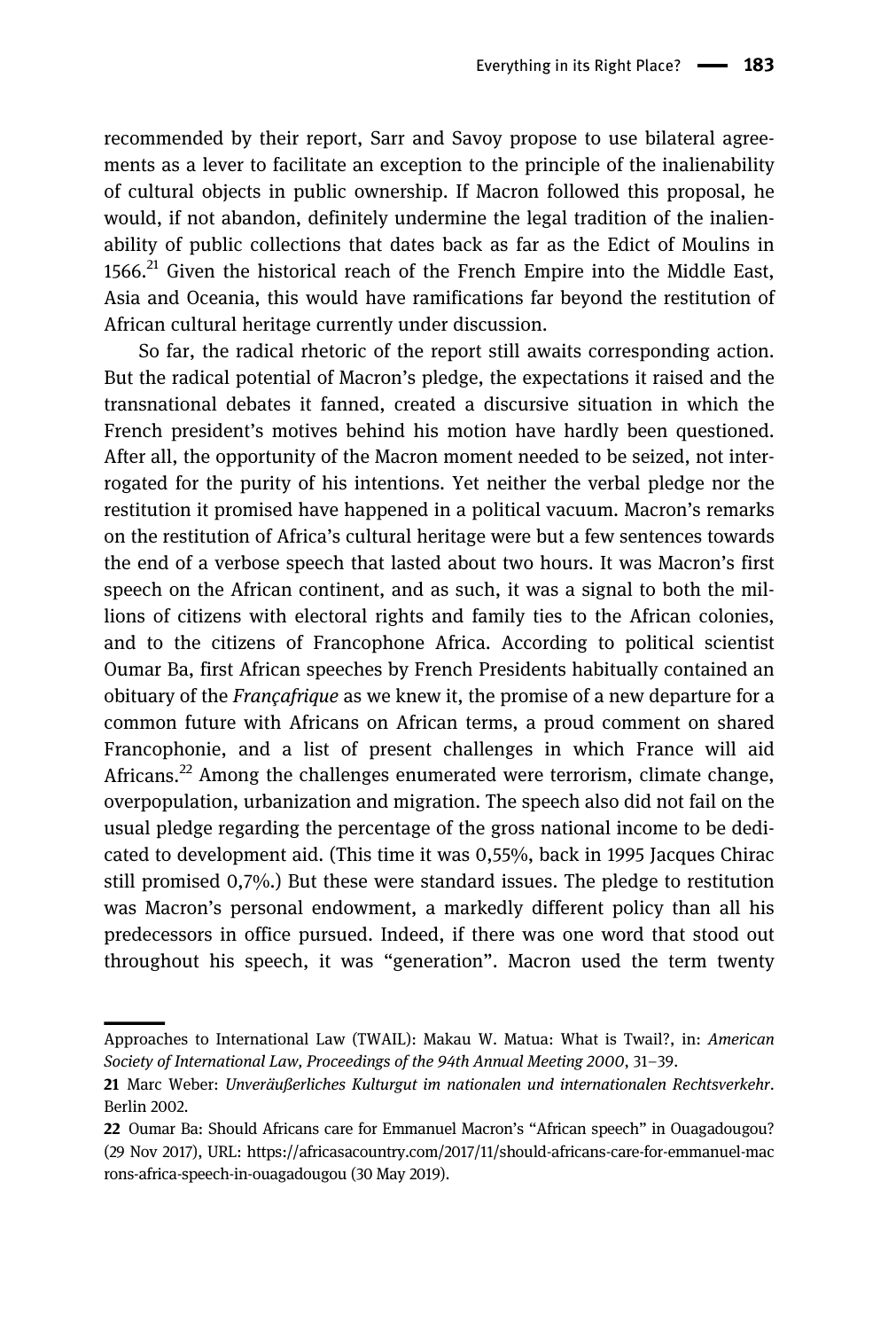recommended by their report, Sarr and Savoy propose to use bilateral agreements as a lever to facilitate an exception to the principle of the inalienability of cultural objects in public ownership. If Macron followed this proposal, he would, if not abandon, definitely undermine the legal tradition of the inalienability of public collections that dates back as far as the Edict of Moulins in 1566. $^{21}$  Given the historical reach of the French Empire into the Middle East, Asia and Oceania, this would have ramifications far beyond the restitution of African cultural heritage currently under discussion.

So far, the radical rhetoric of the report still awaits corresponding action. But the radical potential of Macron's pledge, the expectations it raised and the transnational debates it fanned, created a discursive situation in which the French president's motives behind his motion have hardly been questioned. After all, the opportunity of the Macron moment needed to be seized, not interrogated for the purity of his intentions. Yet neither the verbal pledge nor the restitution it promised have happened in a political vacuum. Macron's remarks on the restitution of Africa's cultural heritage were but a few sentences towards the end of a verbose speech that lasted about two hours. It was Macron's first speech on the African continent, and as such, it was a signal to both the millions of citizens with electoral rights and family ties to the African colonies, and to the citizens of Francophone Africa. According to political scientist Oumar Ba, first African speeches by French Presidents habitually contained an obituary of the Françafrique as we knew it, the promise of a new departure for a common future with Africans on African terms, a proud comment on shared Francophonie, and a list of present challenges in which France will aid Africans.<sup>22</sup> Among the challenges enumerated were terrorism, climate change, overpopulation, urbanization and migration. The speech also did not fail on the usual pledge regarding the percentage of the gross national income to be dedicated to development aid. (This time it was 0,55%, back in 1995 Jacques Chirac still promised 0,7%.) But these were standard issues. The pledge to restitution was Macron's personal endowment, a markedly different policy than all his predecessors in office pursued. Indeed, if there was one word that stood out throughout his speech, it was "generation". Macron used the term twenty

Approaches to International Law (TWAIL): Makau W. Matua: What is Twail?, in: American Society of International Law, Proceedings of the 94th Annual Meeting 2000, 31–39.

<sup>21</sup> Marc Weber: Unveräußerliches Kulturgut im nationalen und internationalen Rechtsverkehr. Berlin 2002.

<sup>22</sup> Oumar Ba: Should Africans care for Emmanuel Macron's "African speech" in Ouagadougou? (29 Nov 2017), URL: [https://africasacountry.com/2017/11/should-africans-care-for-emmanuel-mac](https://africasacountry.com/2017/11/should-africans-care-for-emmanuel-macrons-africa-speech-in-ouagadougou) [rons-africa-speech-in-ouagadougou](https://africasacountry.com/2017/11/should-africans-care-for-emmanuel-macrons-africa-speech-in-ouagadougou) (30 May 2019).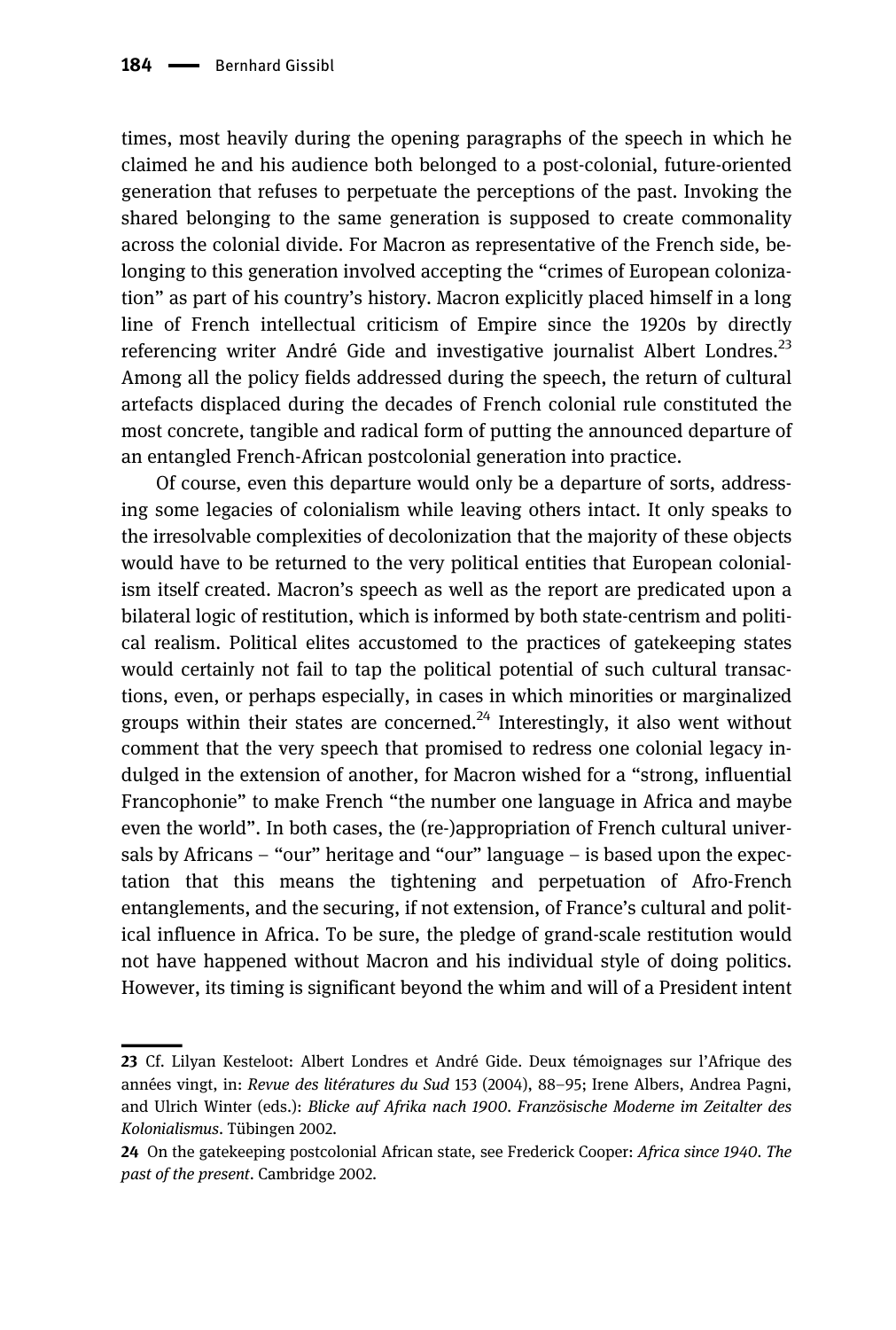times, most heavily during the opening paragraphs of the speech in which he claimed he and his audience both belonged to a post-colonial, future-oriented generation that refuses to perpetuate the perceptions of the past. Invoking the shared belonging to the same generation is supposed to create commonality across the colonial divide. For Macron as representative of the French side, belonging to this generation involved accepting the "crimes of European colonization" as part of his country's history. Macron explicitly placed himself in a long line of French intellectual criticism of Empire since the 1920s by directly referencing writer André Gide and investigative journalist Albert Londres.<sup>23</sup> Among all the policy fields addressed during the speech, the return of cultural artefacts displaced during the decades of French colonial rule constituted the most concrete, tangible and radical form of putting the announced departure of an entangled French-African postcolonial generation into practice.

Of course, even this departure would only be a departure of sorts, addressing some legacies of colonialism while leaving others intact. It only speaks to the irresolvable complexities of decolonization that the majority of these objects would have to be returned to the very political entities that European colonialism itself created. Macron's speech as well as the report are predicated upon a bilateral logic of restitution, which is informed by both state-centrism and political realism. Political elites accustomed to the practices of gatekeeping states would certainly not fail to tap the political potential of such cultural transactions, even, or perhaps especially, in cases in which minorities or marginalized groups within their states are concerned.<sup>24</sup> Interestingly, it also went without comment that the very speech that promised to redress one colonial legacy indulged in the extension of another, for Macron wished for a "strong, influential Francophonie" to make French "the number one language in Africa and maybe even the world". In both cases, the (re-)appropriation of French cultural universals by Africans – "our" heritage and "our" language – is based upon the expectation that this means the tightening and perpetuation of Afro-French entanglements, and the securing, if not extension, of France's cultural and political influence in Africa. To be sure, the pledge of grand-scale restitution would not have happened without Macron and his individual style of doing politics. However, its timing is significant beyond the whim and will of a President intent

<sup>23</sup> Cf. Lilyan Kesteloot: Albert Londres et André Gide. Deux témoignages sur l'Afrique des années vingt, in: Revue des litératures du Sud 153 (2004), 88–95; Irene Albers, Andrea Pagni, and Ulrich Winter (eds.): Blicke auf Afrika nach 1900. Französische Moderne im Zeitalter des Kolonialismus. Tübingen 2002.

<sup>24</sup> On the gatekeeping postcolonial African state, see Frederick Cooper: Africa since 1940. The past of the present. Cambridge 2002.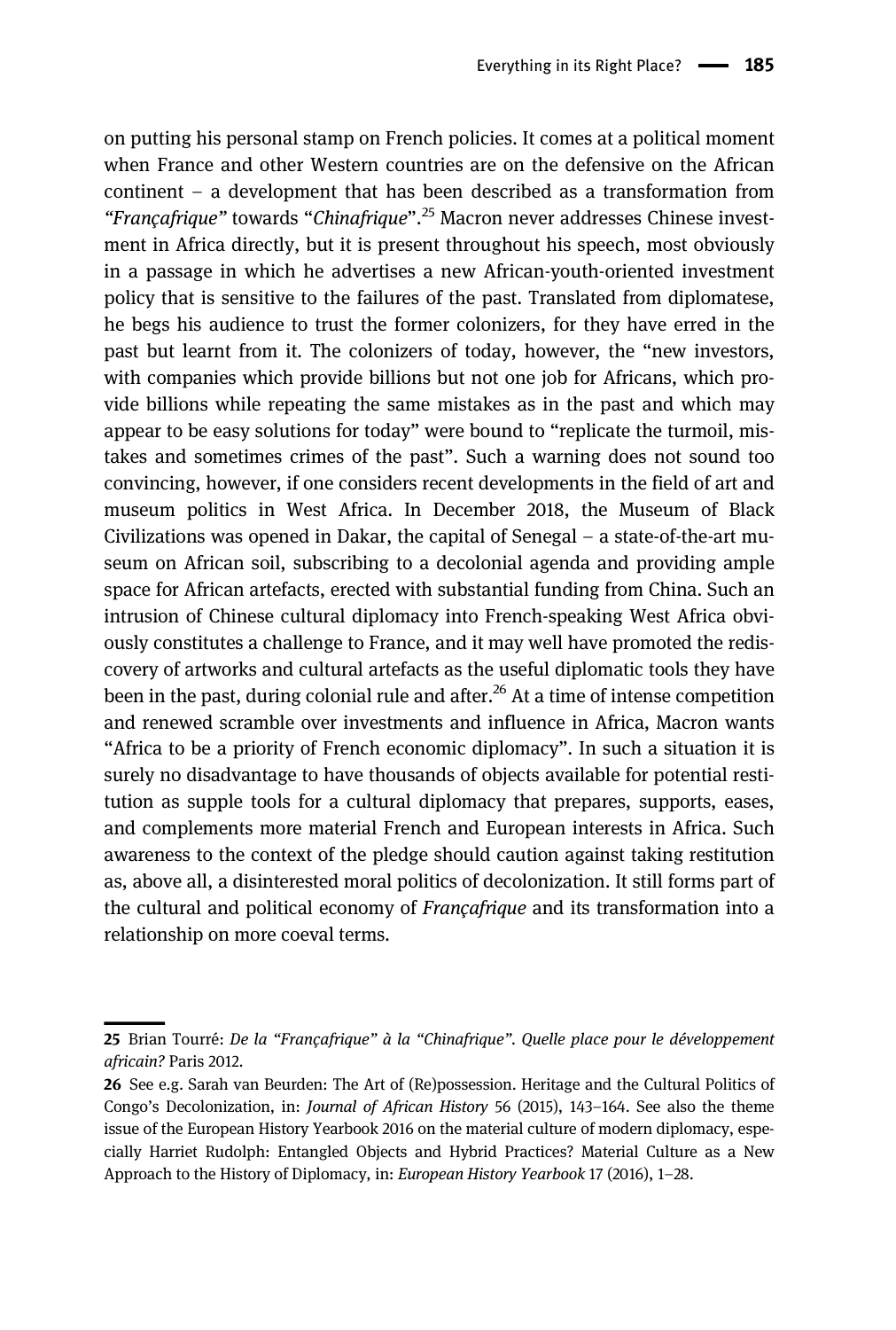on putting his personal stamp on French policies. It comes at a political moment when France and other Western countries are on the defensive on the African continent – a development that has been described as a transformation from "Françafrique" towards "Chinafrique".<sup>25</sup> Macron never addresses Chinese investment in Africa directly, but it is present throughout his speech, most obviously in a passage in which he advertises a new African-youth-oriented investment policy that is sensitive to the failures of the past. Translated from diplomatese, he begs his audience to trust the former colonizers, for they have erred in the past but learnt from it. The colonizers of today, however, the "new investors, with companies which provide billions but not one job for Africans, which provide billions while repeating the same mistakes as in the past and which may appear to be easy solutions for today" were bound to "replicate the turmoil, mistakes and sometimes crimes of the past". Such a warning does not sound too convincing, however, if one considers recent developments in the field of art and museum politics in West Africa. In December 2018, the Museum of Black Civilizations was opened in Dakar, the capital of Senegal – a state-of-the-art museum on African soil, subscribing to a decolonial agenda and providing ample space for African artefacts, erected with substantial funding from China. Such an intrusion of Chinese cultural diplomacy into French-speaking West Africa obviously constitutes a challenge to France, and it may well have promoted the rediscovery of artworks and cultural artefacts as the useful diplomatic tools they have been in the past, during colonial rule and after.<sup>26</sup> At a time of intense competition and renewed scramble over investments and influence in Africa, Macron wants "Africa to be a priority of French economic diplomacy". In such a situation it is surely no disadvantage to have thousands of objects available for potential restitution as supple tools for a cultural diplomacy that prepares, supports, eases, and complements more material French and European interests in Africa. Such awareness to the context of the pledge should caution against taking restitution as, above all, a disinterested moral politics of decolonization. It still forms part of the cultural and political economy of Françafrique and its transformation into a relationship on more coeval terms.

<sup>25</sup> Brian Tourré: De la "Françafrique" à la "Chinafrique". Quelle place pour le développement africain? Paris 2012.

<sup>26</sup> See e.g. Sarah van Beurden: The Art of (Re)possession. Heritage and the Cultural Politics of Congo's Decolonization, in: Journal of African History 56 (2015), 143–164. See also the theme issue of the European History Yearbook 2016 on the material culture of modern diplomacy, especially Harriet Rudolph: Entangled Objects and Hybrid Practices? Material Culture as a New Approach to the History of Diplomacy, in: European History Yearbook 17 (2016), 1–28.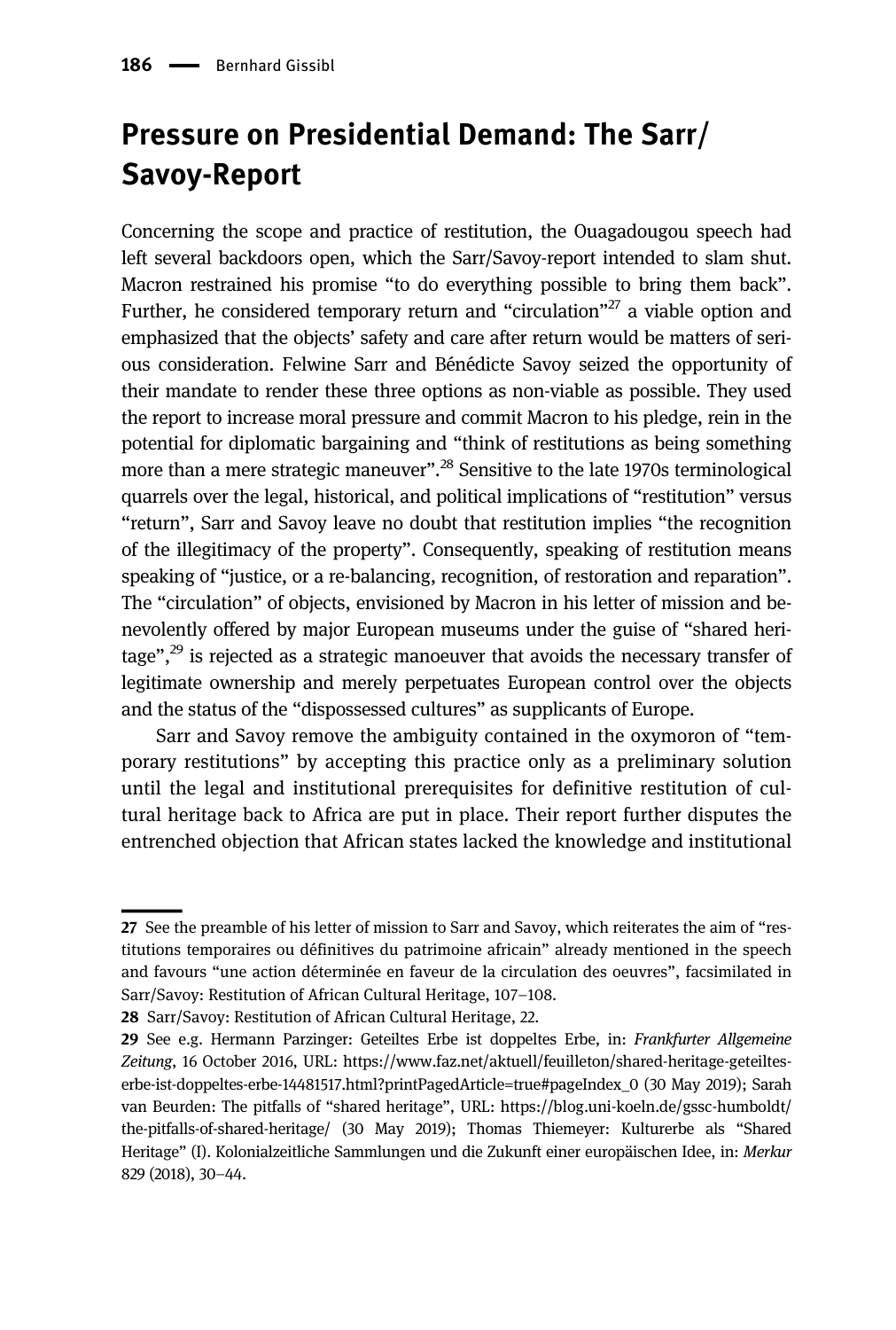# Pressure on Presidential Demand: The Sarr/ Savoy-Report

Concerning the scope and practice of restitution, the Ouagadougou speech had left several backdoors open, which the Sarr/Savoy-report intended to slam shut. Macron restrained his promise "to do everything possible to bring them back". Further, he considered temporary return and "circulation"<sup>27</sup> a viable option and emphasized that the objects' safety and care after return would be matters of serious consideration. Felwine Sarr and Bénédicte Savoy seized the opportunity of their mandate to render these three options as non-viable as possible. They used the report to increase moral pressure and commit Macron to his pledge, rein in the potential for diplomatic bargaining and "think of restitutions as being something more than a mere strategic maneuver".<sup>28</sup> Sensitive to the late 1970s terminological quarrels over the legal, historical, and political implications of "restitution" versus "return", Sarr and Savoy leave no doubt that restitution implies "the recognition of the illegitimacy of the property". Consequently, speaking of restitution means speaking of "justice, or a re-balancing, recognition, of restoration and reparation". The "circulation" of objects, envisioned by Macron in his letter of mission and benevolently offered by major European museums under the guise of "shared heritage",<sup>29</sup> is rejected as a strategic manoeuver that avoids the necessary transfer of legitimate ownership and merely perpetuates European control over the objects and the status of the "dispossessed cultures" as supplicants of Europe.

Sarr and Savoy remove the ambiguity contained in the oxymoron of "temporary restitutions" by accepting this practice only as a preliminary solution until the legal and institutional prerequisites for definitive restitution of cultural heritage back to Africa are put in place. Their report further disputes the entrenched objection that African states lacked the knowledge and institutional

<sup>27</sup> See the preamble of his letter of mission to Sarr and Savoy, which reiterates the aim of "restitutions temporaires ou définitives du patrimoine africain" already mentioned in the speech and favours "une action déterminée en faveur de la circulation des oeuvres", facsimilated in Sarr/Savoy: Restitution of African Cultural Heritage, 107–108.

<sup>28</sup> Sarr/Savoy: Restitution of African Cultural Heritage, 22.

<sup>29</sup> See e.g. Hermann Parzinger: Geteiltes Erbe ist doppeltes Erbe, in: Frankfurter Allgemeine Zeitung, 16 October 2016, URL: [https://www.faz.net/aktuell/feuilleton/shared-heritage-geteiltes](https://www.faz.net/aktuell/feuilleton/shared-heritage-geteiltes-erbe-ist-doppeltes-erbe-14481517.html?printPagedArticle=true#pageIndex_0)[erbe-ist-doppeltes-erbe-14481517.html?printPagedArticle=true#pageIndex\\_0](https://www.faz.net/aktuell/feuilleton/shared-heritage-geteiltes-erbe-ist-doppeltes-erbe-14481517.html?printPagedArticle=true#pageIndex_0) (30 May 2019); Sarah van Beurden: The pitfalls of "shared heritage", URL: [https://blog.uni-koeln.de/gssc-humboldt/](https://blog.uni-koeln.de/gssc-humboldt/the-pitfalls-of-shared-heritage/) [the-pitfalls-of-shared-heritage/](https://blog.uni-koeln.de/gssc-humboldt/the-pitfalls-of-shared-heritage/) (30 May 2019); Thomas Thiemeyer: Kulturerbe als "Shared Heritage" (I). Kolonialzeitliche Sammlungen und die Zukunft einer europäischen Idee, in: Merkur 829 (2018), 30–44.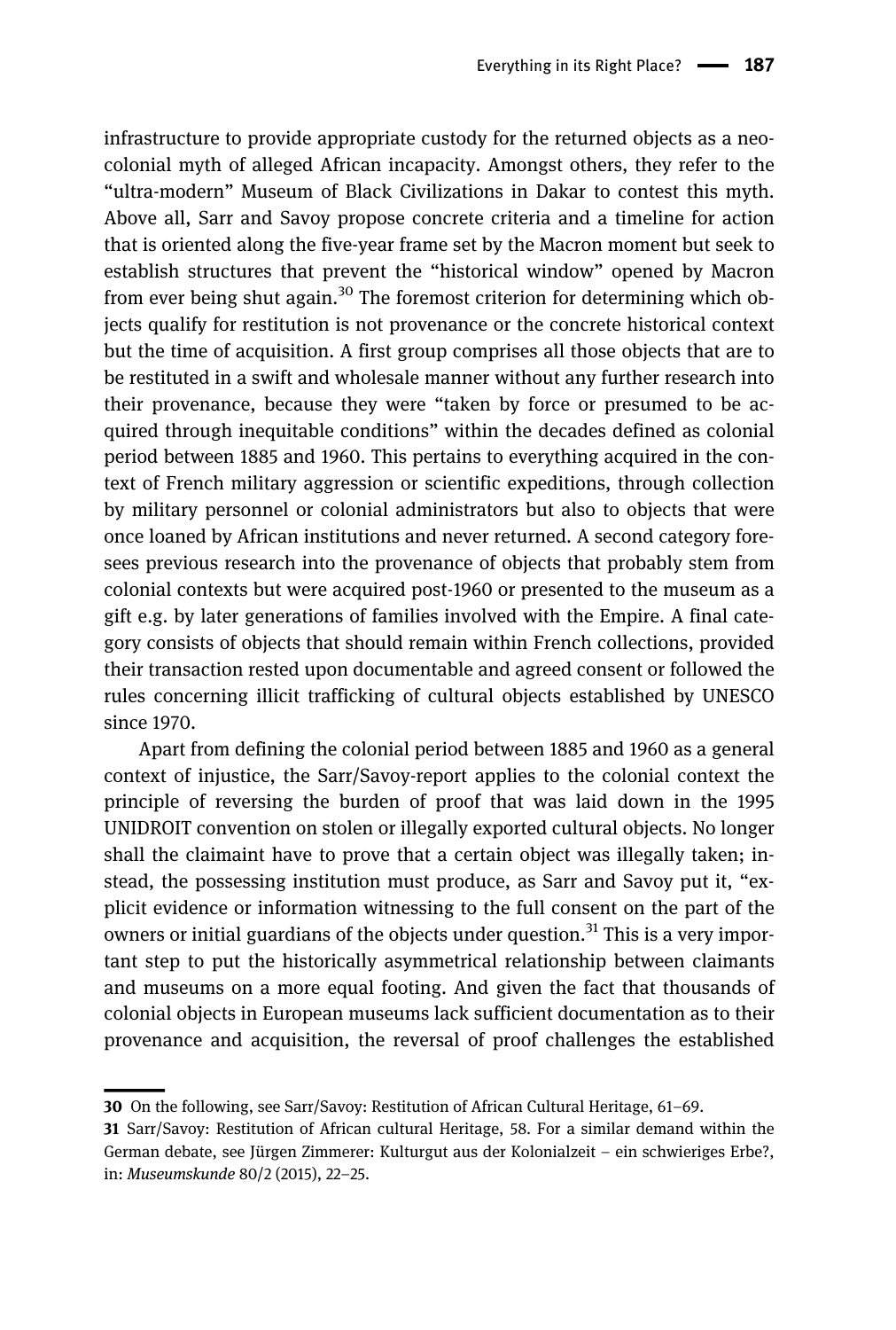infrastructure to provide appropriate custody for the returned objects as a neocolonial myth of alleged African incapacity. Amongst others, they refer to the "ultra-modern" Museum of Black Civilizations in Dakar to contest this myth. Above all, Sarr and Savoy propose concrete criteria and a timeline for action that is oriented along the five-year frame set by the Macron moment but seek to establish structures that prevent the "historical window" opened by Macron from ever being shut again.<sup>30</sup> The foremost criterion for determining which objects qualify for restitution is not provenance or the concrete historical context but the time of acquisition. A first group comprises all those objects that are to be restituted in a swift and wholesale manner without any further research into their provenance, because they were "taken by force or presumed to be acquired through inequitable conditions" within the decades defined as colonial period between 1885 and 1960. This pertains to everything acquired in the context of French military aggression or scientific expeditions, through collection by military personnel or colonial administrators but also to objects that were once loaned by African institutions and never returned. A second category foresees previous research into the provenance of objects that probably stem from colonial contexts but were acquired post-1960 or presented to the museum as a gift e.g. by later generations of families involved with the Empire. A final category consists of objects that should remain within French collections, provided their transaction rested upon documentable and agreed consent or followed the rules concerning illicit trafficking of cultural objects established by UNESCO since 1970.

Apart from defining the colonial period between 1885 and 1960 as a general context of injustice, the Sarr/Savoy-report applies to the colonial context the principle of reversing the burden of proof that was laid down in the 1995 UNIDROIT convention on stolen or illegally exported cultural objects. No longer shall the claimaint have to prove that a certain object was illegally taken; instead, the possessing institution must produce, as Sarr and Savoy put it, "explicit evidence or information witnessing to the full consent on the part of the owners or initial guardians of the objects under question.<sup>31</sup> This is a very important step to put the historically asymmetrical relationship between claimants and museums on a more equal footing. And given the fact that thousands of colonial objects in European museums lack sufficient documentation as to their provenance and acquisition, the reversal of proof challenges the established

<sup>30</sup> On the following, see Sarr/Savoy: Restitution of African Cultural Heritage, 61–69.

<sup>31</sup> Sarr/Savoy: Restitution of African cultural Heritage, 58. For a similar demand within the German debate, see Jürgen Zimmerer: Kulturgut aus der Kolonialzeit – ein schwieriges Erbe?, in: Museumskunde 80/2 (2015), 22–25.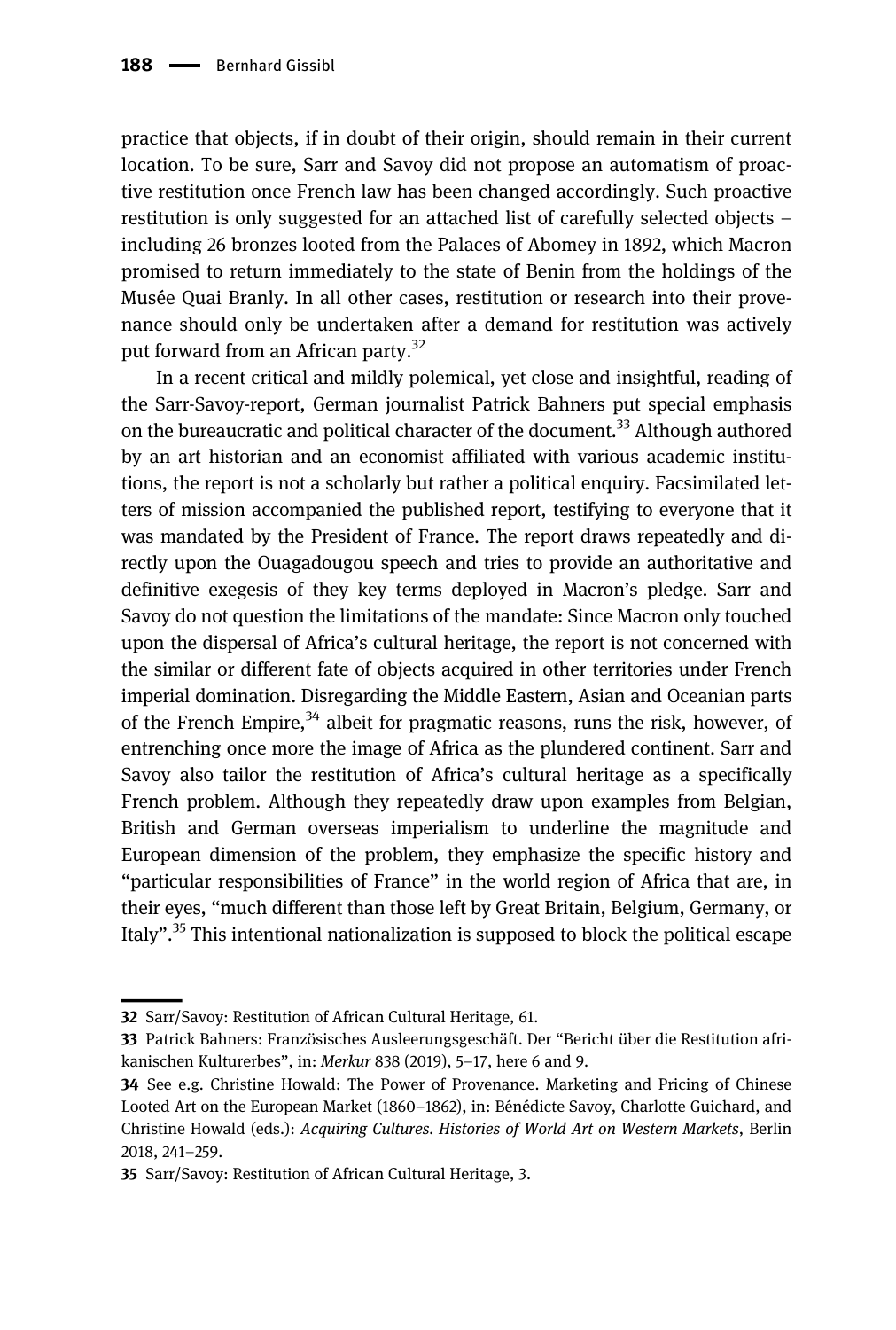practice that objects, if in doubt of their origin, should remain in their current location. To be sure, Sarr and Savoy did not propose an automatism of proactive restitution once French law has been changed accordingly. Such proactive restitution is only suggested for an attached list of carefully selected objects – including 26 bronzes looted from the Palaces of Abomey in 1892, which Macron promised to return immediately to the state of Benin from the holdings of the Musée Quai Branly. In all other cases, restitution or research into their provenance should only be undertaken after a demand for restitution was actively put forward from an African party.<sup>32</sup>

In a recent critical and mildly polemical, yet close and insightful, reading of the Sarr-Savoy-report, German journalist Patrick Bahners put special emphasis on the bureaucratic and political character of the document.<sup>33</sup> Although authored by an art historian and an economist affiliated with various academic institutions, the report is not a scholarly but rather a political enquiry. Facsimilated letters of mission accompanied the published report, testifying to everyone that it was mandated by the President of France. The report draws repeatedly and directly upon the Ouagadougou speech and tries to provide an authoritative and definitive exegesis of they key terms deployed in Macron's pledge. Sarr and Savoy do not question the limitations of the mandate: Since Macron only touched upon the dispersal of Africa's cultural heritage, the report is not concerned with the similar or different fate of objects acquired in other territories under French imperial domination. Disregarding the Middle Eastern, Asian and Oceanian parts of the French Empire,  $34$  albeit for pragmatic reasons, runs the risk, however, of entrenching once more the image of Africa as the plundered continent. Sarr and Savoy also tailor the restitution of Africa's cultural heritage as a specifically French problem. Although they repeatedly draw upon examples from Belgian, British and German overseas imperialism to underline the magnitude and European dimension of the problem, they emphasize the specific history and "particular responsibilities of France" in the world region of Africa that are, in their eyes, "much different than those left by Great Britain, Belgium, Germany, or Italy". <sup>35</sup> This intentional nationalization is supposed to block the political escape

<sup>32</sup> Sarr/Savoy: Restitution of African Cultural Heritage, 61.

<sup>33</sup> Patrick Bahners: Französisches Ausleerungsgeschäft. Der "Bericht über die Restitution afrikanischen Kulturerbes", in: Merkur 838 (2019), 5–17, here 6 and 9.

<sup>34</sup> See e.g. Christine Howald: The Power of Provenance. Marketing and Pricing of Chinese Looted Art on the European Market (1860–1862), in: Bénédicte Savoy, Charlotte Guichard, and Christine Howald (eds.): Acquiring Cultures. Histories of World Art on Western Markets, Berlin 2018, 241–259.

<sup>35</sup> Sarr/Savoy: Restitution of African Cultural Heritage, 3.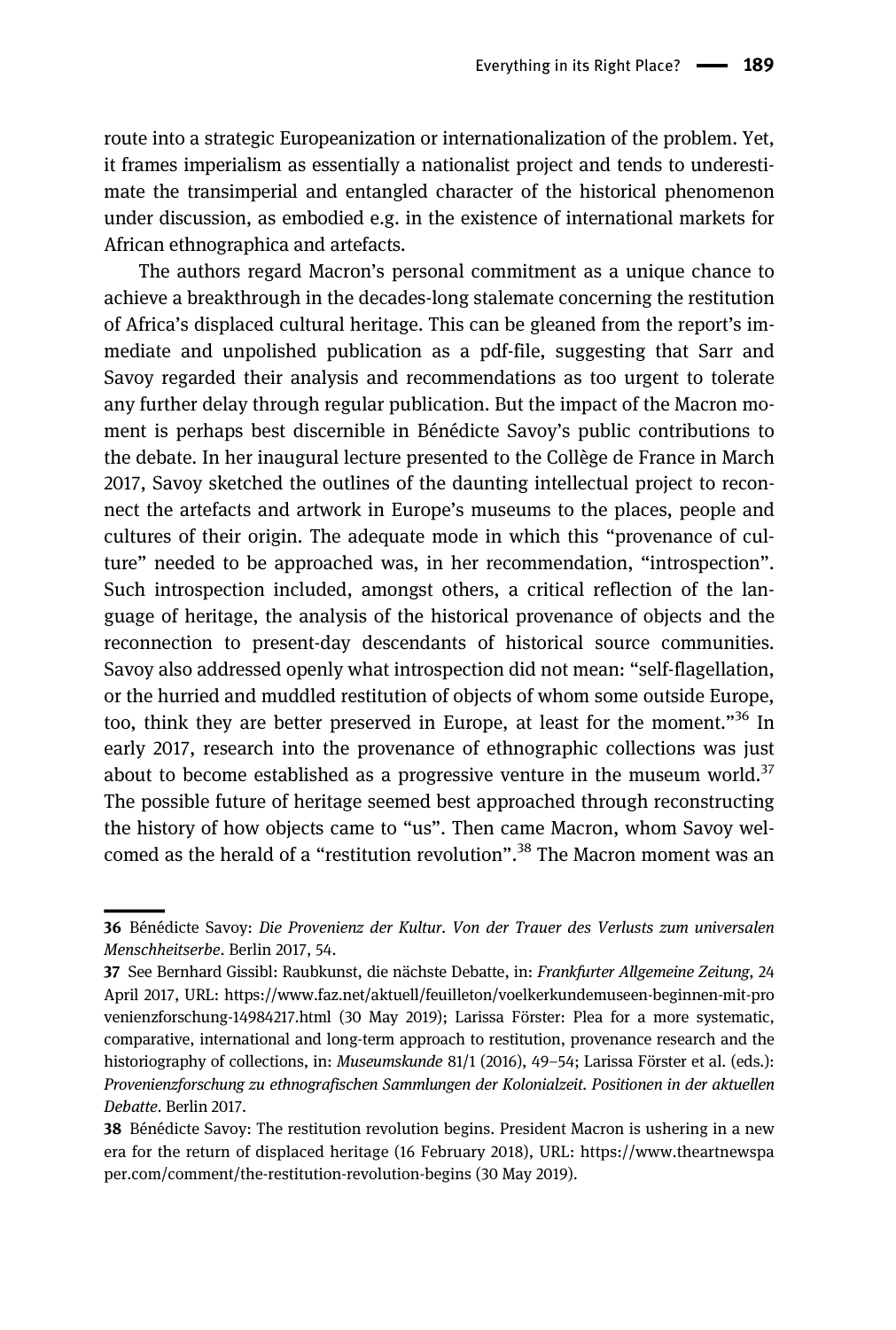route into a strategic Europeanization or internationalization of the problem. Yet, it frames imperialism as essentially a nationalist project and tends to underestimate the transimperial and entangled character of the historical phenomenon under discussion, as embodied e.g. in the existence of international markets for African ethnographica and artefacts.

The authors regard Macron's personal commitment as a unique chance to achieve a breakthrough in the decades-long stalemate concerning the restitution of Africa's displaced cultural heritage. This can be gleaned from the report's immediate and unpolished publication as a pdf-file, suggesting that Sarr and Savoy regarded their analysis and recommendations as too urgent to tolerate any further delay through regular publication. But the impact of the Macron moment is perhaps best discernible in Bénédicte Savoy's public contributions to the debate. In her inaugural lecture presented to the Collège de France in March 2017, Savoy sketched the outlines of the daunting intellectual project to reconnect the artefacts and artwork in Europe's museums to the places, people and cultures of their origin. The adequate mode in which this "provenance of culture" needed to be approached was, in her recommendation, "introspection". Such introspection included, amongst others, a critical reflection of the language of heritage, the analysis of the historical provenance of objects and the reconnection to present-day descendants of historical source communities. Savoy also addressed openly what introspection did not mean: "self-flagellation, or the hurried and muddled restitution of objects of whom some outside Europe, too, think they are better preserved in Europe, at least for the moment."<sup>36</sup> In early 2017, research into the provenance of ethnographic collections was just about to become established as a progressive venture in the museum world.<sup>37</sup> The possible future of heritage seemed best approached through reconstructing the history of how objects came to "us". Then came Macron, whom Savoy welcomed as the herald of a "restitution revolution".<sup>38</sup> The Macron moment was an

<sup>36</sup> Bénédicte Savoy: Die Provenienz der Kultur. Von der Trauer des Verlusts zum universalen Menschheitserbe. Berlin 2017, 54.

<sup>37</sup> See Bernhard Gissibl: Raubkunst, die nächste Debatte, in: Frankfurter Allgemeine Zeitung, 24 April 2017, URL: [https://www.faz.net/aktuell/feuilleton/voelkerkundemuseen-beginnen-mit-pro](https://www.faz.net/aktuell/feuilleton/voelkerkundemuseen-beginnen-mit-provenienzforschung-14984217.html) [venienzforschung-14984217.html](https://www.faz.net/aktuell/feuilleton/voelkerkundemuseen-beginnen-mit-provenienzforschung-14984217.html) (30 May 2019); Larissa Förster: Plea for a more systematic, comparative, international and long-term approach to restitution, provenance research and the historiography of collections, in: Museumskunde 81/1 (2016), 49–54; Larissa Förster et al. (eds.): Provenienzforschung zu ethnografischen Sammlungen der Kolonialzeit. Positionen in der aktuellen Debatte. Berlin 2017.

<sup>38</sup> Bénédicte Savoy: The restitution revolution begins. President Macron is ushering in a new era for the return of displaced heritage (16 February 2018), URL: [https://www.theartnewspa](https://www.theartnewspaper.com/comment/the-restitution-revolution-begins) [per.com/comment/the-restitution-revolution-begins](https://www.theartnewspaper.com/comment/the-restitution-revolution-begins) (30 May 2019).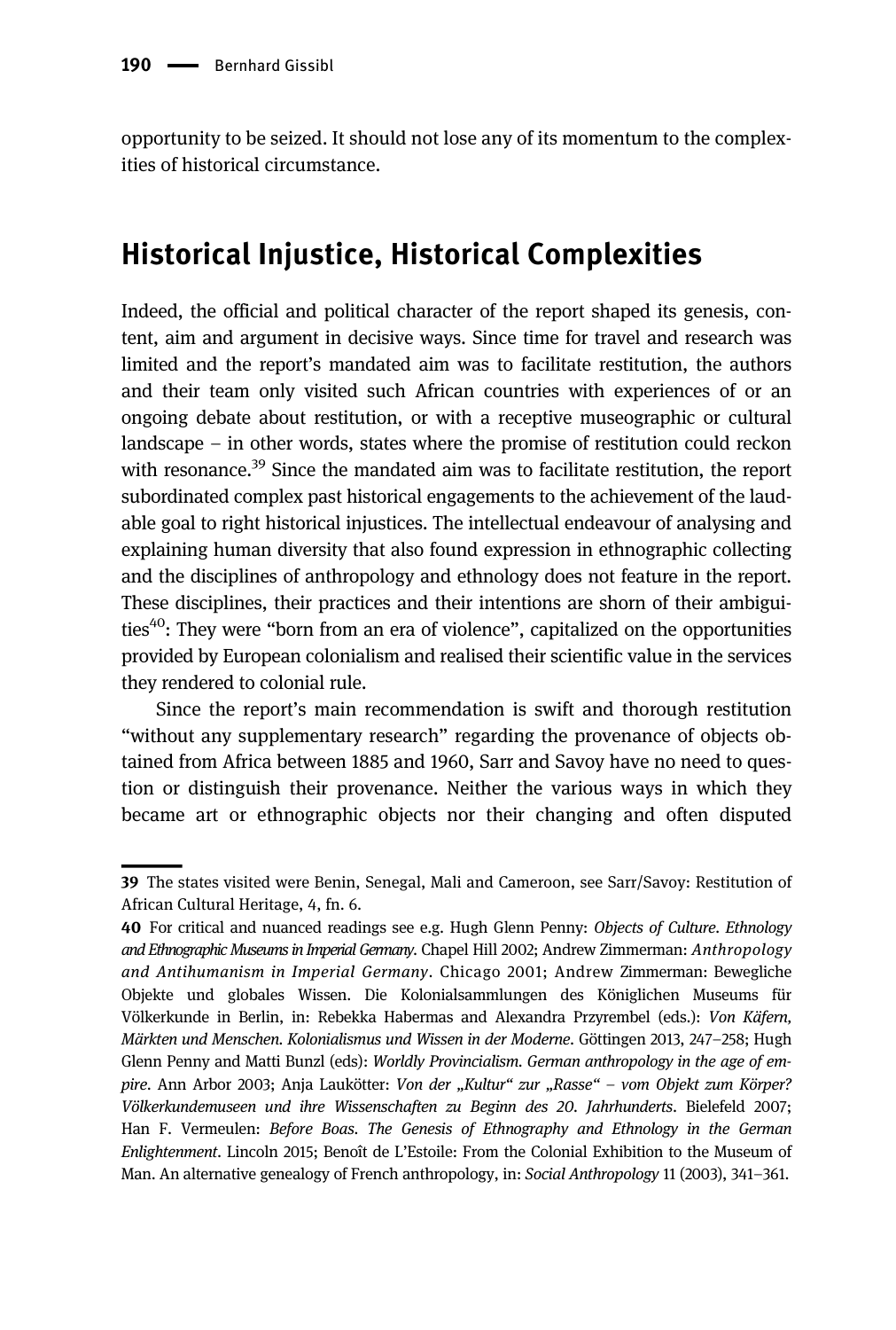opportunity to be seized. It should not lose any of its momentum to the complexities of historical circumstance.

### Historical Injustice, Historical Complexities

Indeed, the official and political character of the report shaped its genesis, content, aim and argument in decisive ways. Since time for travel and research was limited and the report's mandated aim was to facilitate restitution, the authors and their team only visited such African countries with experiences of or an ongoing debate about restitution, or with a receptive museographic or cultural landscape – in other words, states where the promise of restitution could reckon with resonance.<sup>39</sup> Since the mandated aim was to facilitate restitution, the report subordinated complex past historical engagements to the achievement of the laudable goal to right historical injustices. The intellectual endeavour of analysing and explaining human diversity that also found expression in ethnographic collecting and the disciplines of anthropology and ethnology does not feature in the report. These disciplines, their practices and their intentions are shorn of their ambiguities<sup>40</sup>: They were "born from an era of violence", capitalized on the opportunities provided by European colonialism and realised their scientific value in the services they rendered to colonial rule.

Since the report's main recommendation is swift and thorough restitution "without any supplementary research" regarding the provenance of objects obtained from Africa between 1885 and 1960, Sarr and Savoy have no need to question or distinguish their provenance. Neither the various ways in which they became art or ethnographic objects nor their changing and often disputed

<sup>39</sup> The states visited were Benin, Senegal, Mali and Cameroon, see Sarr/Savoy: Restitution of African Cultural Heritage, 4, fn. 6.

<sup>40</sup> For critical and nuanced readings see e.g. Hugh Glenn Penny: Objects of Culture. Ethnology and Ethnographic Museums in Imperial Germany. Chapel Hill 2002; Andrew Zimmerman: Anthropology and Antihumanism in Imperial Germany. Chicago 2001; Andrew Zimmerman: Bewegliche Objekte und globales Wissen. Die Kolonialsammlungen des Königlichen Museums für Völkerkunde in Berlin, in: Rebekka Habermas and Alexandra Przyrembel (eds.): Von Käfern, Märkten und Menschen. Kolonialismus und Wissen in der Moderne. Göttingen 2013, 247–258; Hugh Glenn Penny and Matti Bunzl (eds): Worldly Provincialism. German anthropology in the age of empire. Ann Arbor 2003; Anja Laukötter: Von der "Kultur" zur "Rasse" – vom Objekt zum Körper? Völkerkundemuseen und ihre Wissenschaften zu Beginn des 20. Jahrhunderts. Bielefeld 2007; Han F. Vermeulen: Before Boas. The Genesis of Ethnography and Ethnology in the German Enlightenment. Lincoln 2015; Benoît de L'Estoile: From the Colonial Exhibition to the Museum of Man. An alternative genealogy of French anthropology, in: Social Anthropology 11 (2003), 341–361.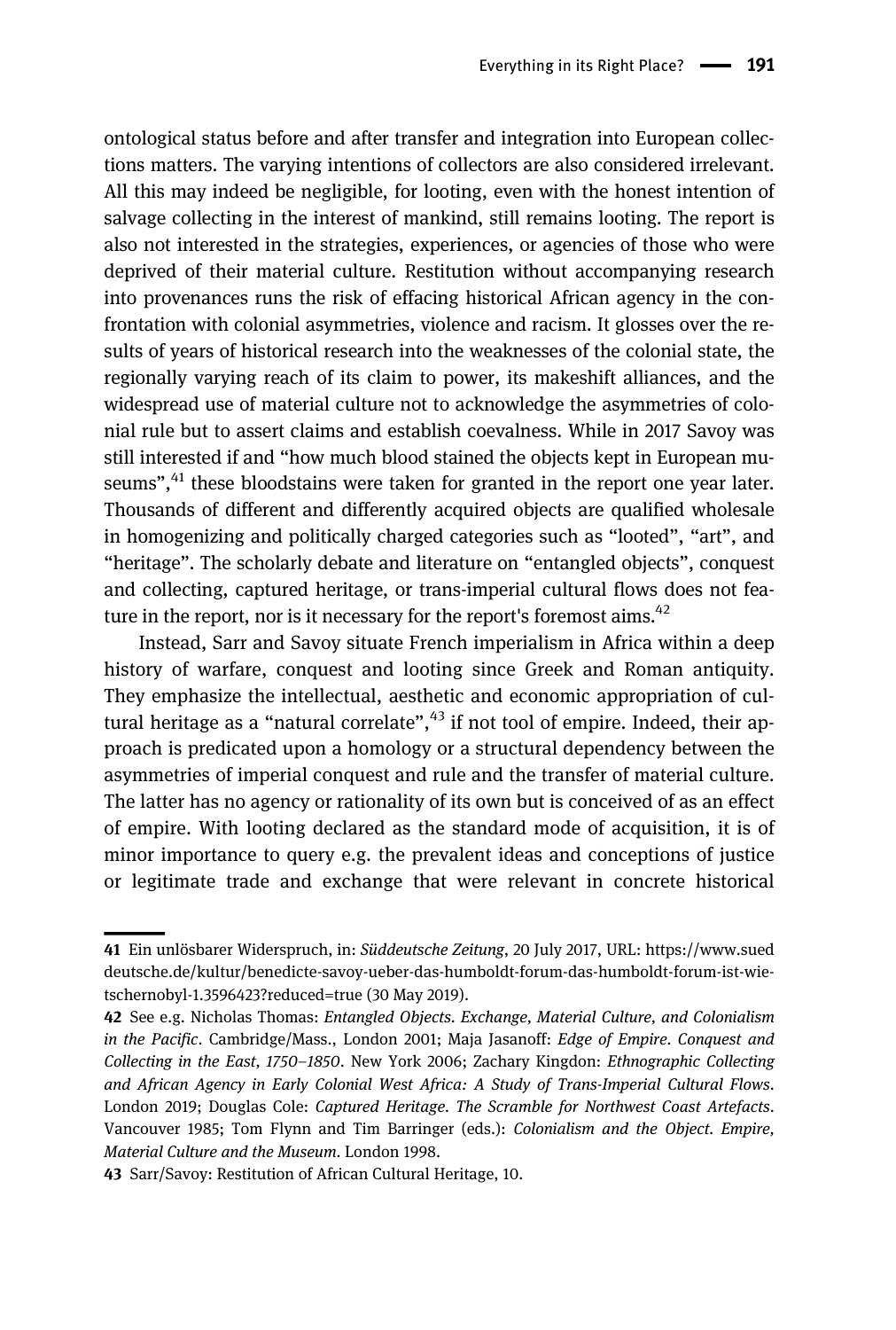ontological status before and after transfer and integration into European collections matters. The varying intentions of collectors are also considered irrelevant. All this may indeed be negligible, for looting, even with the honest intention of salvage collecting in the interest of mankind, still remains looting. The report is also not interested in the strategies, experiences, or agencies of those who were deprived of their material culture. Restitution without accompanying research into provenances runs the risk of effacing historical African agency in the confrontation with colonial asymmetries, violence and racism. It glosses over the results of years of historical research into the weaknesses of the colonial state, the regionally varying reach of its claim to power, its makeshift alliances, and the widespread use of material culture not to acknowledge the asymmetries of colonial rule but to assert claims and establish coevalness. While in 2017 Savoy was still interested if and "how much blood stained the objects kept in European museums",<sup>41</sup> these bloodstains were taken for granted in the report one year later. Thousands of different and differently acquired objects are qualified wholesale in homogenizing and politically charged categories such as "looted", "art", and "heritage". The scholarly debate and literature on "entangled objects", conquest and collecting, captured heritage, or trans-imperial cultural flows does not feature in the report, nor is it necessary for the report's foremost aims.  $42$ 

Instead, Sarr and Savoy situate French imperialism in Africa within a deep history of warfare, conquest and looting since Greek and Roman antiquity. They emphasize the intellectual, aesthetic and economic appropriation of cultural heritage as a "natural correlate", <sup>43</sup> if not tool of empire. Indeed, their approach is predicated upon a homology or a structural dependency between the asymmetries of imperial conquest and rule and the transfer of material culture. The latter has no agency or rationality of its own but is conceived of as an effect of empire. With looting declared as the standard mode of acquisition, it is of minor importance to query e.g. the prevalent ideas and conceptions of justice or legitimate trade and exchange that were relevant in concrete historical

<sup>41</sup> Ein unlösbarer Widerspruch, in: Süddeutsche Zeitung, 20 July 2017, URL: [https://www.sued](https://www.sueddeutsche.de/kultur/benedicte-savoy-ueber-das-humboldt-forum-das-humboldt-forum-ist-wie-tschernobyl-1.3596423?reduced=true) [deutsche.de/kultur/benedicte-savoy-ueber-das-humboldt-forum-das-humboldt-forum-ist-wie](https://www.sueddeutsche.de/kultur/benedicte-savoy-ueber-das-humboldt-forum-das-humboldt-forum-ist-wie-tschernobyl-1.3596423?reduced=true)[tschernobyl-1.3596423?reduced=true](https://www.sueddeutsche.de/kultur/benedicte-savoy-ueber-das-humboldt-forum-das-humboldt-forum-ist-wie-tschernobyl-1.3596423?reduced=true) (30 May 2019).

<sup>42</sup> See e.g. Nicholas Thomas: Entangled Objects. Exchange, Material Culture, and Colonialism in the Pacific. Cambridge/Mass., London 2001; Maja Jasanoff: Edge of Empire. Conquest and Collecting in the East, 1750–1850. New York 2006; Zachary Kingdon: Ethnographic Collecting and African Agency in Early Colonial West Africa: A Study of Trans-Imperial Cultural Flows. London 2019; Douglas Cole: Captured Heritage. The Scramble for Northwest Coast Artefacts. Vancouver 1985; Tom Flynn and Tim Barringer (eds.): Colonialism and the Object. Empire, Material Culture and the Museum. London 1998.

<sup>43</sup> Sarr/Savoy: Restitution of African Cultural Heritage, 10.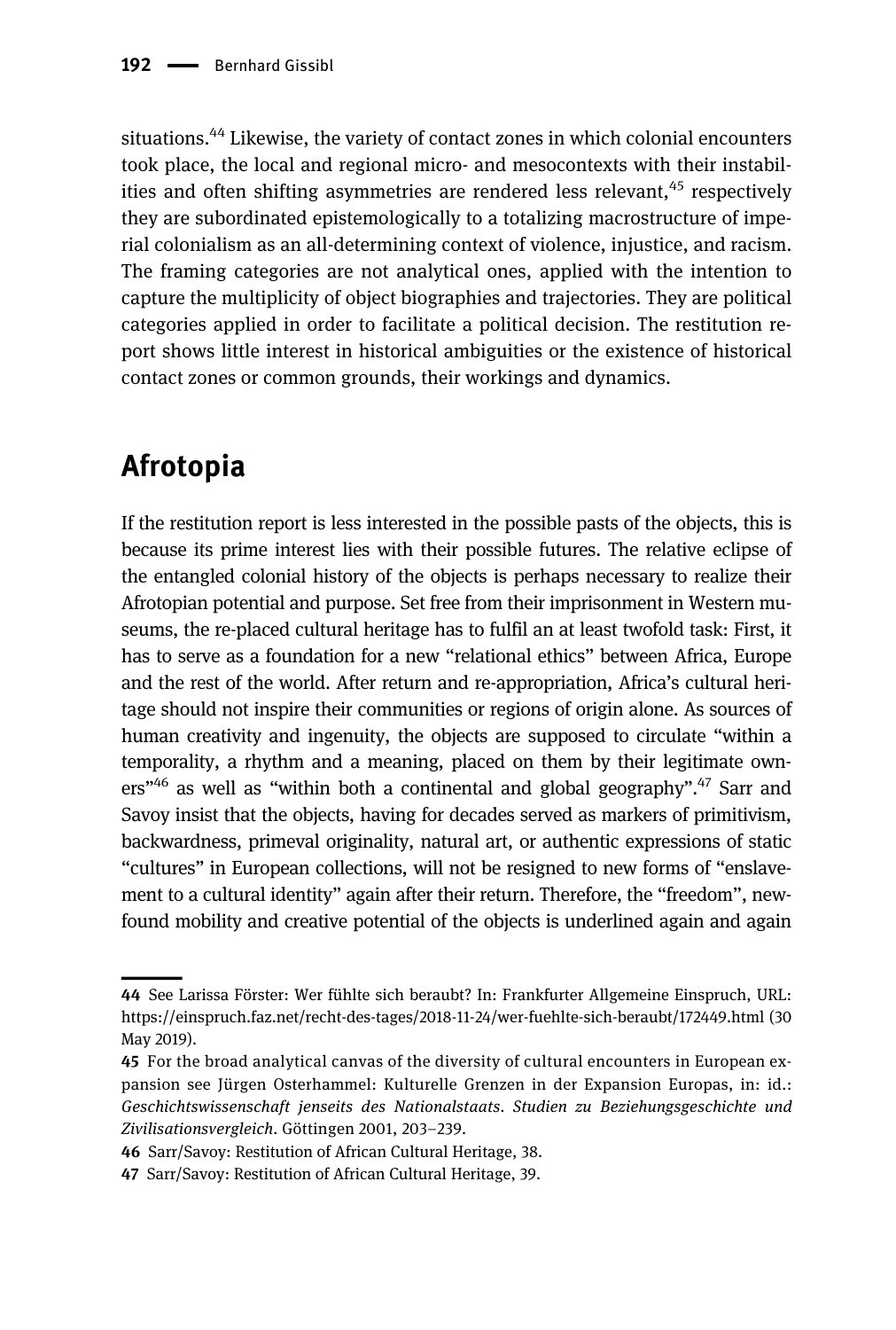situations.<sup>44</sup> Likewise, the variety of contact zones in which colonial encounters took place, the local and regional micro- and mesocontexts with their instabilities and often shifting asymmetries are rendered less relevant,  $45$  respectively they are subordinated epistemologically to a totalizing macrostructure of imperial colonialism as an all-determining context of violence, injustice, and racism. The framing categories are not analytical ones, applied with the intention to capture the multiplicity of object biographies and trajectories. They are political categories applied in order to facilitate a political decision. The restitution report shows little interest in historical ambiguities or the existence of historical contact zones or common grounds, their workings and dynamics.

### Afrotopia

If the restitution report is less interested in the possible pasts of the objects, this is because its prime interest lies with their possible futures. The relative eclipse of the entangled colonial history of the objects is perhaps necessary to realize their Afrotopian potential and purpose. Set free from their imprisonment in Western museums, the re-placed cultural heritage has to fulfil an at least twofold task: First, it has to serve as a foundation for a new "relational ethics" between Africa, Europe and the rest of the world. After return and re-appropriation, Africa's cultural heritage should not inspire their communities or regions of origin alone. As sources of human creativity and ingenuity, the objects are supposed to circulate "within a temporality, a rhythm and a meaning, placed on them by their legitimate owners"<sup>46</sup> as well as "within both a continental and global geography".<sup>47</sup> Sarr and Savoy insist that the objects, having for decades served as markers of primitivism, backwardness, primeval originality, natural art, or authentic expressions of static "cultures" in European collections, will not be resigned to new forms of "enslavement to a cultural identity" again after their return. Therefore, the "freedom", newfound mobility and creative potential of the objects is underlined again and again

<sup>44</sup> See Larissa Förster: Wer fühlte sich beraubt? In: Frankfurter Allgemeine Einspruch, URL: <https://einspruch.faz.net/recht-des-tages/2018-11-24/wer-fuehlte-sich-beraubt/172449.html> (30 May 2019).

<sup>45</sup> For the broad analytical canvas of the diversity of cultural encounters in European expansion see Jürgen Osterhammel: Kulturelle Grenzen in der Expansion Europas, in: id.: Geschichtswissenschaft jenseits des Nationalstaats. Studien zu Beziehungsgeschichte und Zivilisationsvergleich. Göttingen 2001, 203–239.

<sup>46</sup> Sarr/Savoy: Restitution of African Cultural Heritage, 38.

<sup>47</sup> Sarr/Savoy: Restitution of African Cultural Heritage, 39.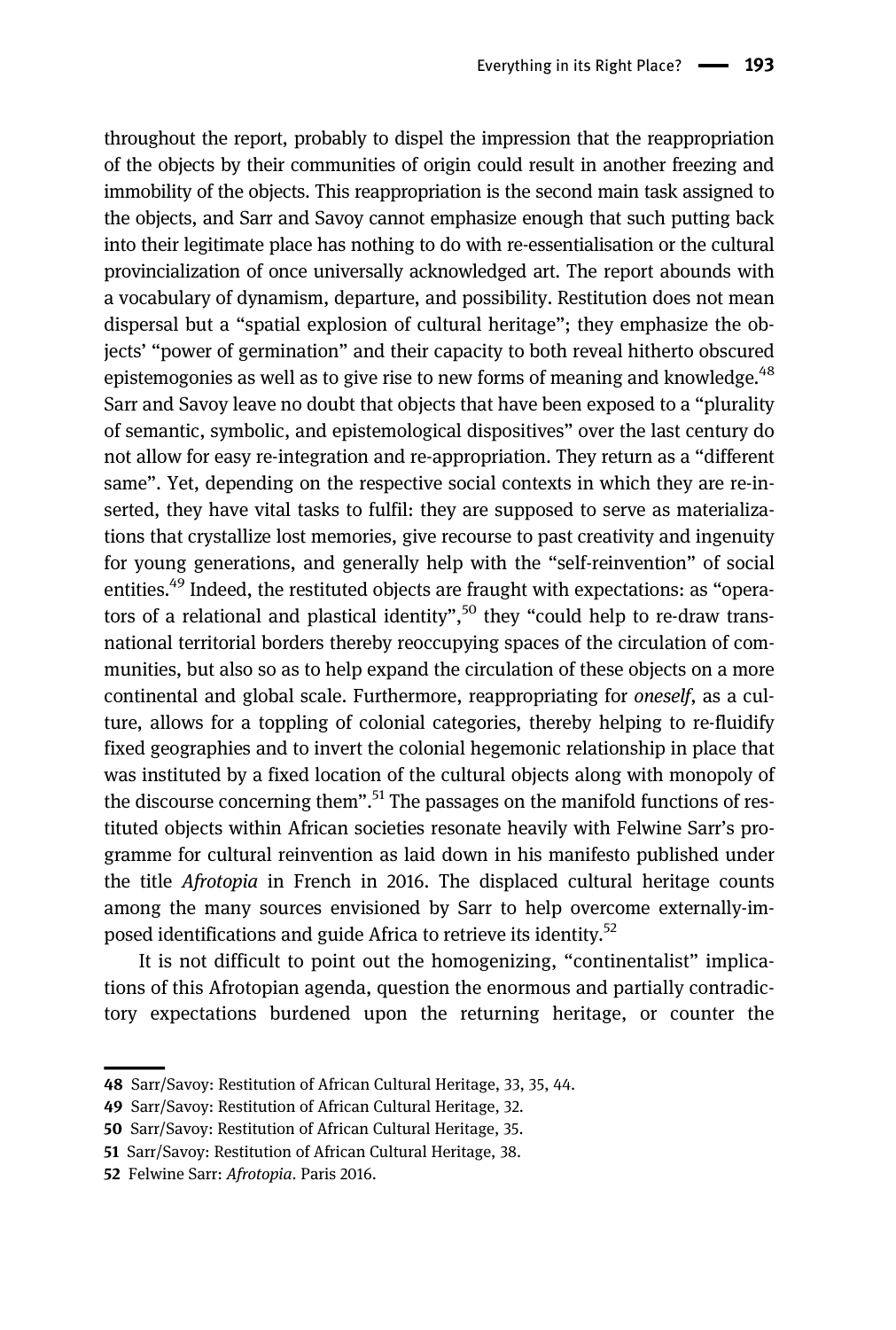throughout the report, probably to dispel the impression that the reappropriation of the objects by their communities of origin could result in another freezing and immobility of the objects. This reappropriation is the second main task assigned to the objects, and Sarr and Savoy cannot emphasize enough that such putting back into their legitimate place has nothing to do with re-essentialisation or the cultural provincialization of once universally acknowledged art. The report abounds with a vocabulary of dynamism, departure, and possibility. Restitution does not mean dispersal but a "spatial explosion of cultural heritage"; they emphasize the objects' "power of germination" and their capacity to both reveal hitherto obscured epistemogonies as well as to give rise to new forms of meaning and knowledge.<sup>48</sup> Sarr and Savoy leave no doubt that objects that have been exposed to a "plurality of semantic, symbolic, and epistemological dispositives" over the last century do not allow for easy re-integration and re-appropriation. They return as a "different same". Yet, depending on the respective social contexts in which they are re-inserted, they have vital tasks to fulfil: they are supposed to serve as materializations that crystallize lost memories, give recourse to past creativity and ingenuity for young generations, and generally help with the "self-reinvention" of social entities.<sup>49</sup> Indeed, the restituted objects are fraught with expectations: as "operators of a relational and plastical identity",<sup>50</sup> they "could help to re-draw transnational territorial borders thereby reoccupying spaces of the circulation of communities, but also so as to help expand the circulation of these objects on a more continental and global scale. Furthermore, reappropriating for oneself, as a culture, allows for a toppling of colonial categories, thereby helping to re-fluidify fixed geographies and to invert the colonial hegemonic relationship in place that was instituted by a fixed location of the cultural objects along with monopoly of the discourse concerning them".<sup>51</sup> The passages on the manifold functions of restituted objects within African societies resonate heavily with Felwine Sarr's programme for cultural reinvention as laid down in his manifesto published under the title Afrotopia in French in 2016. The displaced cultural heritage counts among the many sources envisioned by Sarr to help overcome externally-imposed identifications and guide Africa to retrieve its identity.52

It is not difficult to point out the homogenizing, "continentalist" implications of this Afrotopian agenda, question the enormous and partially contradictory expectations burdened upon the returning heritage, or counter the

<sup>48</sup> Sarr/Savoy: Restitution of African Cultural Heritage, 33, 35, 44.

<sup>49</sup> Sarr/Savoy: Restitution of African Cultural Heritage, 32.

<sup>50</sup> Sarr/Savoy: Restitution of African Cultural Heritage, 35.

<sup>51</sup> Sarr/Savoy: Restitution of African Cultural Heritage, 38.

<sup>52</sup> Felwine Sarr: Afrotopia. Paris 2016.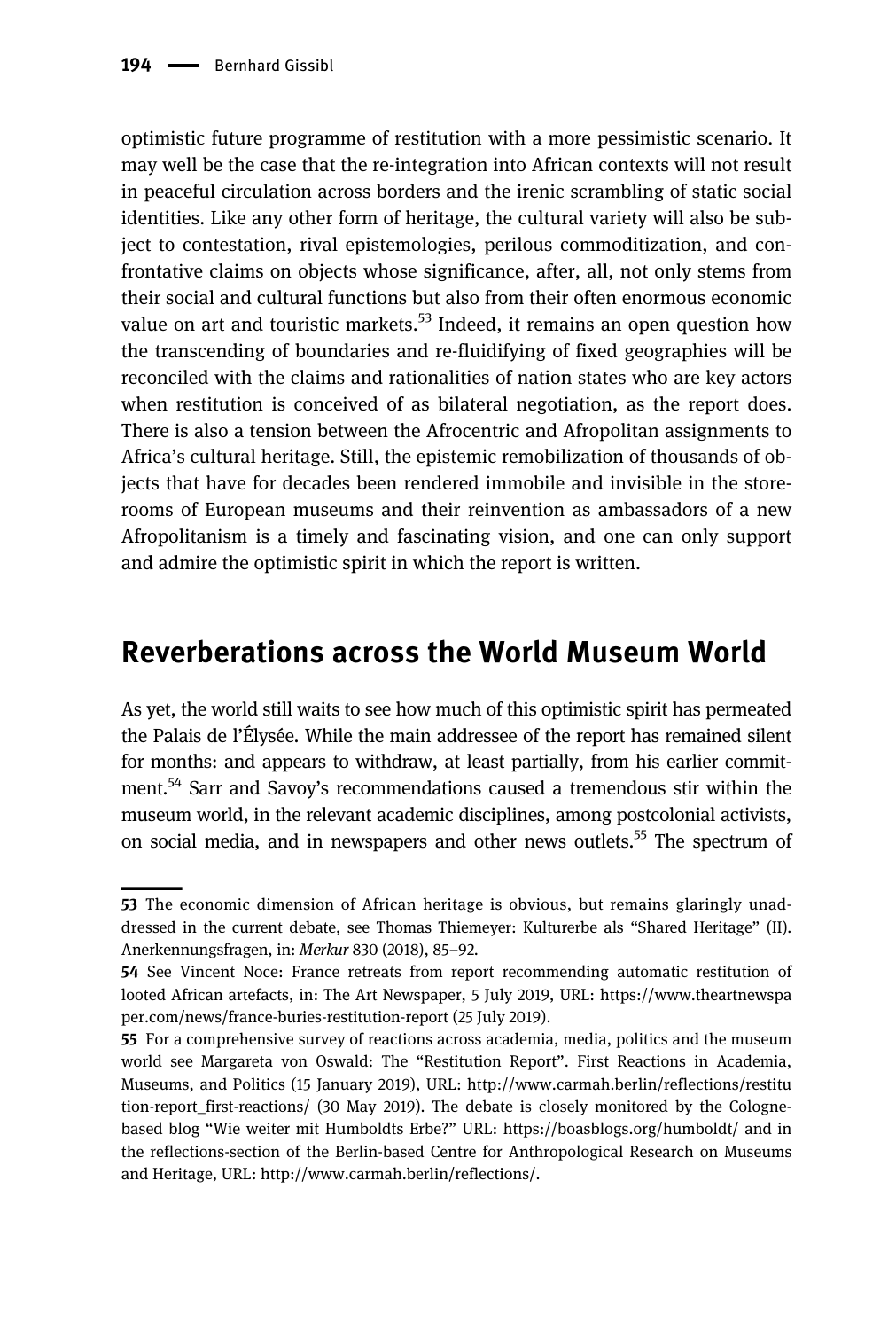optimistic future programme of restitution with a more pessimistic scenario. It may well be the case that the re-integration into African contexts will not result in peaceful circulation across borders and the irenic scrambling of static social identities. Like any other form of heritage, the cultural variety will also be subject to contestation, rival epistemologies, perilous commoditization, and confrontative claims on objects whose significance, after, all, not only stems from their social and cultural functions but also from their often enormous economic value on art and touristic markets. $53$  Indeed, it remains an open question how the transcending of boundaries and re-fluidifying of fixed geographies will be reconciled with the claims and rationalities of nation states who are key actors when restitution is conceived of as bilateral negotiation, as the report does. There is also a tension between the Afrocentric and Afropolitan assignments to Africa's cultural heritage. Still, the epistemic remobilization of thousands of objects that have for decades been rendered immobile and invisible in the storerooms of European museums and their reinvention as ambassadors of a new Afropolitanism is a timely and fascinating vision, and one can only support and admire the optimistic spirit in which the report is written.

### Reverberations across the World Museum World

As yet, the world still waits to see how much of this optimistic spirit has permeated the Palais de l'Élysée. While the main addressee of the report has remained silent for months: and appears to withdraw, at least partially, from his earlier commitment.<sup>54</sup> Sarr and Savoy's recommendations caused a tremendous stir within the museum world, in the relevant academic disciplines, among postcolonial activists, on social media, and in newspapers and other news outlets.<sup>55</sup> The spectrum of

<sup>53</sup> The economic dimension of African heritage is obvious, but remains glaringly unaddressed in the current debate, see Thomas Thiemeyer: Kulturerbe als "Shared Heritage" (II). Anerkennungsfragen, in: Merkur 830 (2018), 85–92.

<sup>54</sup> See Vincent Noce: France retreats from report recommending automatic restitution of looted African artefacts, in: The Art Newspaper, 5 July 2019, URL: [https://www.theartnewspa](https://www.theartnewspaper.com/news/france-buries-restitution-report) [per.com/news/france-buries-restitution-report](https://www.theartnewspaper.com/news/france-buries-restitution-report) (25 July 2019).

<sup>55</sup> For a comprehensive survey of reactions across academia, media, politics and the museum world see Margareta von Oswald: The "Restitution Report". First Reactions in Academia, Museums, and Politics (15 January 2019), URL: [http://www.carmah.berlin/reflections/restitu](http://www.carmah.berlin/reflections/restitution-report_first-reactions/) [tion-report\\_first-reactions/](http://www.carmah.berlin/reflections/restitution-report_first-reactions/) (30 May 2019). The debate is closely monitored by the Colognebased blog "Wie weiter mit Humboldts Erbe?" URL:<https://boasblogs.org/humboldt/> and in the reflections-section of the Berlin-based Centre for Anthropological Research on Museums and Heritage, URL: [http://www.carmah.berlin/reflections/.](http://www.carmah.berlin/reflections/)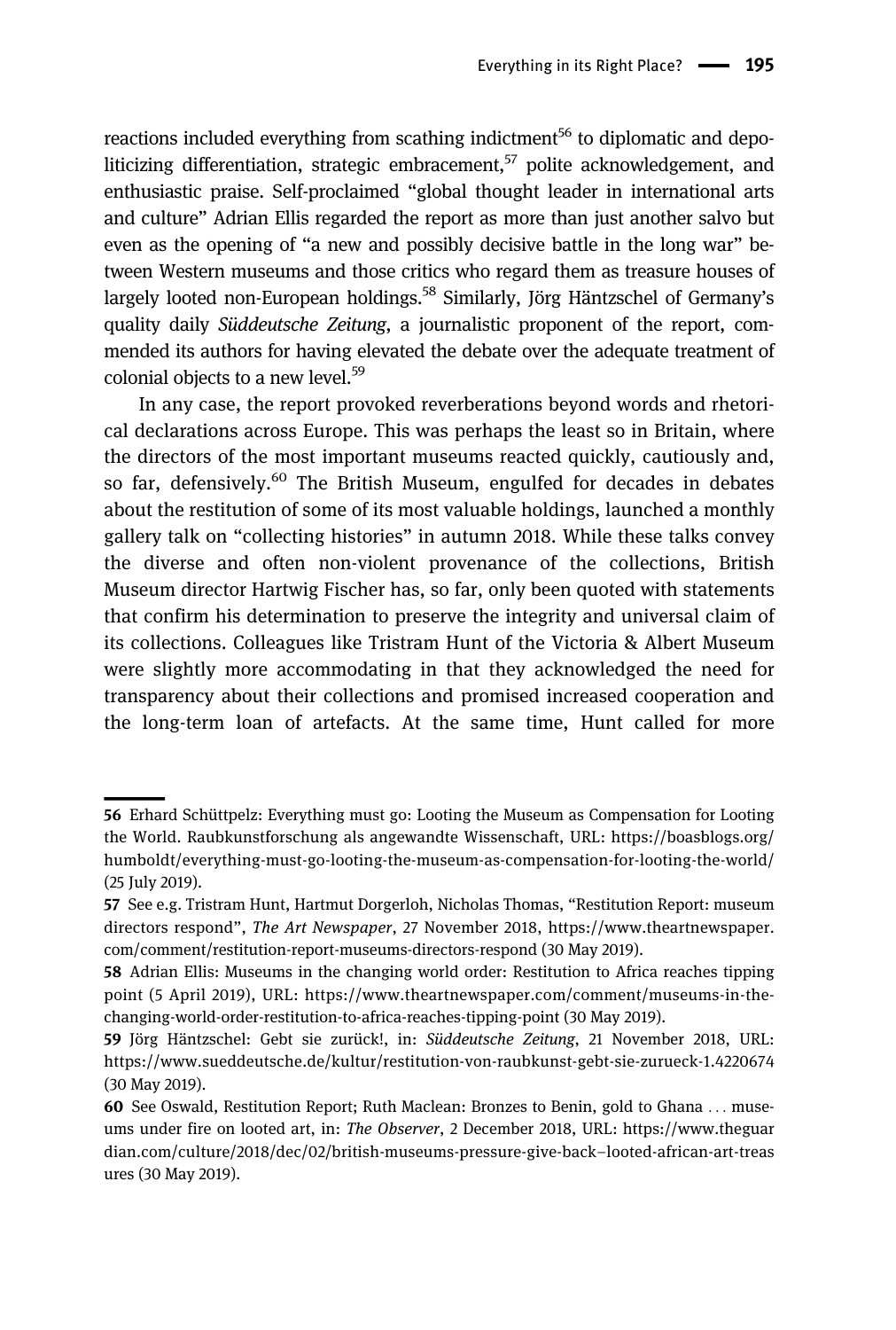reactions included everything from scathing indictment<sup>56</sup> to diplomatic and depoliticizing differentiation, strategic embracement,  $57$  polite acknowledgement, and enthusiastic praise. Self-proclaimed "global thought leader in international arts and culture" Adrian Ellis regarded the report as more than just another salvo but even as the opening of "a new and possibly decisive battle in the long war" between Western museums and those critics who regard them as treasure houses of largely looted non-European holdings.<sup>58</sup> Similarly, Jörg Häntzschel of Germany's quality daily Süddeutsche Zeitung, a journalistic proponent of the report, commended its authors for having elevated the debate over the adequate treatment of colonial objects to a new level.<sup>59</sup>

In any case, the report provoked reverberations beyond words and rhetorical declarations across Europe. This was perhaps the least so in Britain, where the directors of the most important museums reacted quickly, cautiously and, so far, defensively.<sup>60</sup> The British Museum, engulfed for decades in debates about the restitution of some of its most valuable holdings, launched a monthly gallery talk on "collecting histories" in autumn 2018. While these talks convey the diverse and often non-violent provenance of the collections, British Museum director Hartwig Fischer has, so far, only been quoted with statements that confirm his determination to preserve the integrity and universal claim of its collections. Colleagues like Tristram Hunt of the Victoria & Albert Museum were slightly more accommodating in that they acknowledged the need for transparency about their collections and promised increased cooperation and the long-term loan of artefacts. At the same time, Hunt called for more

<sup>56</sup> Erhard Schüttpelz: Everything must go: Looting the Museum as Compensation for Looting the World. Raubkunstforschung als angewandte Wissenschaft, URL: [https://boasblogs.org/](https://boasblogs.org/humboldt/everything-must-go-looting-the-museum-as-compensation-for-looting-the-world/) [humboldt/everything-must-go-looting-the-museum-as-compensation-for-looting-the-world/](https://boasblogs.org/humboldt/everything-must-go-looting-the-museum-as-compensation-for-looting-the-world/) (25 July 2019).

<sup>57</sup> See e.g. Tristram Hunt, Hartmut Dorgerloh, Nicholas Thomas, "Restitution Report: museum directors respond", The Art Newspaper, 27 November 2018, [https://www.theartnewspaper.](https://www.theartnewspaper.com/comment/restitution-report-museums-directors-respond) [com/comment/restitution-report-museums-directors-respond](https://www.theartnewspaper.com/comment/restitution-report-museums-directors-respond) (30 May 2019).

<sup>58</sup> Adrian Ellis: Museums in the changing world order: Restitution to Africa reaches tipping point (5 April 2019), URL: [https://www.theartnewspaper.com/comment/museums-in-the](https://www.theartnewspaper.com/comment/museums-in-the-changing-world-order-restitution-to-africa-reaches-tipping-point)[changing-world-order-restitution-to-africa-reaches-tipping-point](https://www.theartnewspaper.com/comment/museums-in-the-changing-world-order-restitution-to-africa-reaches-tipping-point) (30 May 2019).

<sup>59</sup> Jörg Häntzschel: Gebt sie zurück!, in: Süddeutsche Zeitung, 21 November 2018, URL: <https://www.sueddeutsche.de/kultur/restitution-von-raubkunst-gebt-sie-zurueck-1.4220674> (30 May 2019).

<sup>60</sup> See Oswald, Restitution Report; Ruth Maclean: Bronzes to Benin, gold to Ghana ... museums under fire on looted art, in: The Observer, 2 December 2018, URL: [https://www.theguar](https://www.theguardian.com/culture/2018/dec/02/british-museums-pressure-give-back-looted-african-art-treasures) [dian.com/culture/2018/dec/02/british-museums-pressure-give-back](https://www.theguardian.com/culture/2018/dec/02/british-museums-pressure-give-back-looted-african-art-treasures)–looted-african-art-treas [ures](https://www.theguardian.com/culture/2018/dec/02/british-museums-pressure-give-back-looted-african-art-treasures) (30 May 2019).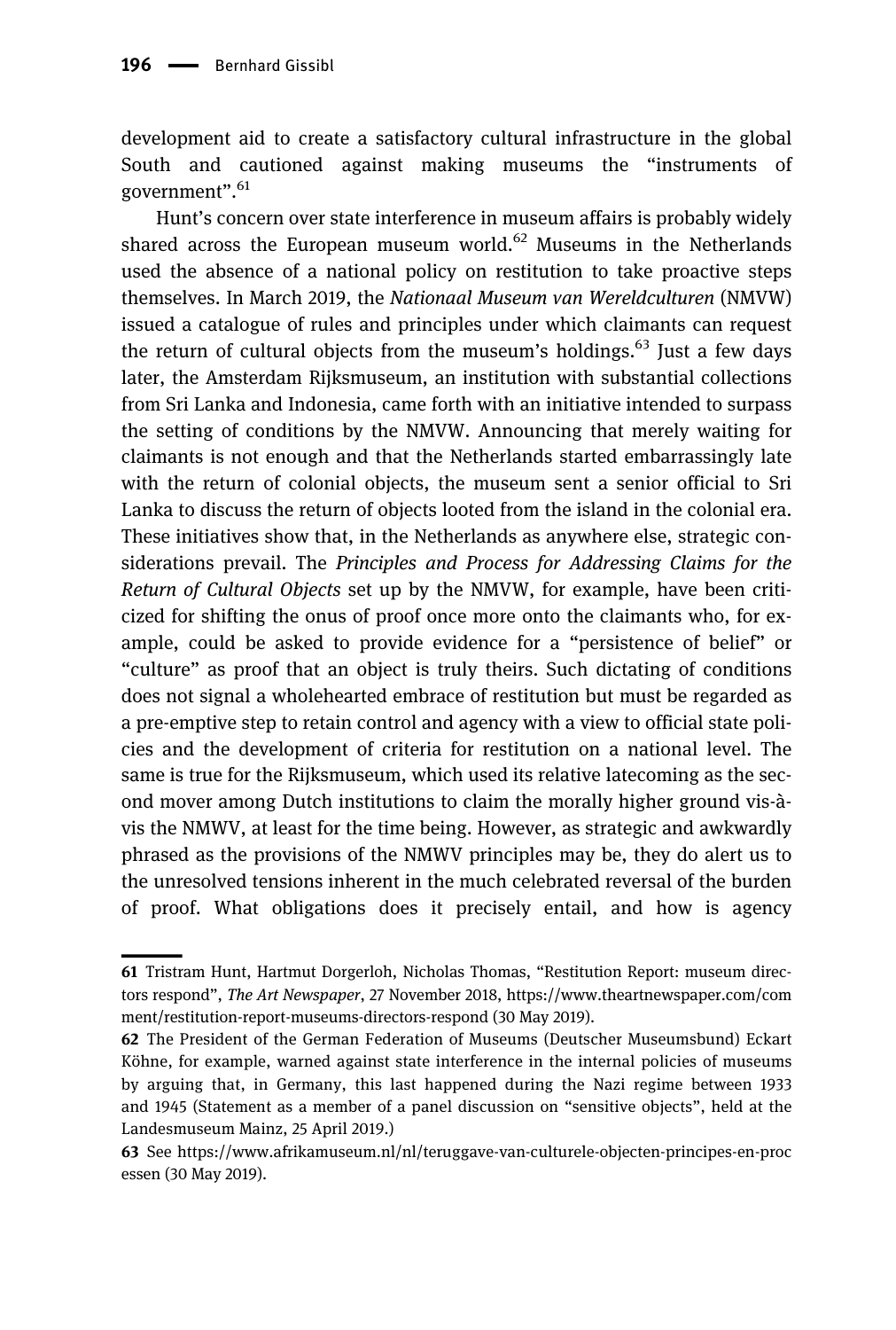development aid to create a satisfactory cultural infrastructure in the global South and cautioned against making museums the "instruments of government". 61

Hunt's concern over state interference in museum affairs is probably widely shared across the European museum world.<sup>62</sup> Museums in the Netherlands used the absence of a national policy on restitution to take proactive steps themselves. In March 2019, the Nationaal Museum van Wereldculturen (NMVW) issued a catalogue of rules and principles under which claimants can request the return of cultural objects from the museum's holdings.<sup>63</sup> Just a few days later, the Amsterdam Rijksmuseum, an institution with substantial collections from Sri Lanka and Indonesia, came forth with an initiative intended to surpass the setting of conditions by the NMVW. Announcing that merely waiting for claimants is not enough and that the Netherlands started embarrassingly late with the return of colonial objects, the museum sent a senior official to Sri Lanka to discuss the return of objects looted from the island in the colonial era. These initiatives show that, in the Netherlands as anywhere else, strategic considerations prevail. The Principles and Process for Addressing Claims for the Return of Cultural Objects set up by the NMVW, for example, have been criticized for shifting the onus of proof once more onto the claimants who, for example, could be asked to provide evidence for a "persistence of belief" or "culture" as proof that an object is truly theirs. Such dictating of conditions does not signal a wholehearted embrace of restitution but must be regarded as a pre-emptive step to retain control and agency with a view to official state policies and the development of criteria for restitution on a national level. The same is true for the Rijksmuseum, which used its relative latecoming as the second mover among Dutch institutions to claim the morally higher ground vis-àvis the NMWV, at least for the time being. However, as strategic and awkwardly phrased as the provisions of the NMWV principles may be, they do alert us to the unresolved tensions inherent in the much celebrated reversal of the burden of proof. What obligations does it precisely entail, and how is agency

<sup>61</sup> Tristram Hunt, Hartmut Dorgerloh, Nicholas Thomas, "Restitution Report: museum directors respond", The Art Newspaper, 27 November 2018, [https://www.theartnewspaper.com/com](https://www.theartnewspaper.com/comment/restitution-report-museums-directors-respond) [ment/restitution-report-museums-directors-respond](https://www.theartnewspaper.com/comment/restitution-report-museums-directors-respond) (30 May 2019).

<sup>62</sup> The President of the German Federation of Museums (Deutscher Museumsbund) Eckart Köhne, for example, warned against state interference in the internal policies of museums by arguing that, in Germany, this last happened during the Nazi regime between 1933 and 1945 (Statement as a member of a panel discussion on "sensitive objects", held at the Landesmuseum Mainz, 25 April 2019.)

<sup>63</sup> See [https://www.afrikamuseum.nl/nl/teruggave-van-culturele-objecten-principes-en-proc](https://www.afrikamuseum.nl/nl/teruggave-van-culturele-objecten-principes-en-processen) [essen](https://www.afrikamuseum.nl/nl/teruggave-van-culturele-objecten-principes-en-processen) (30 May 2019).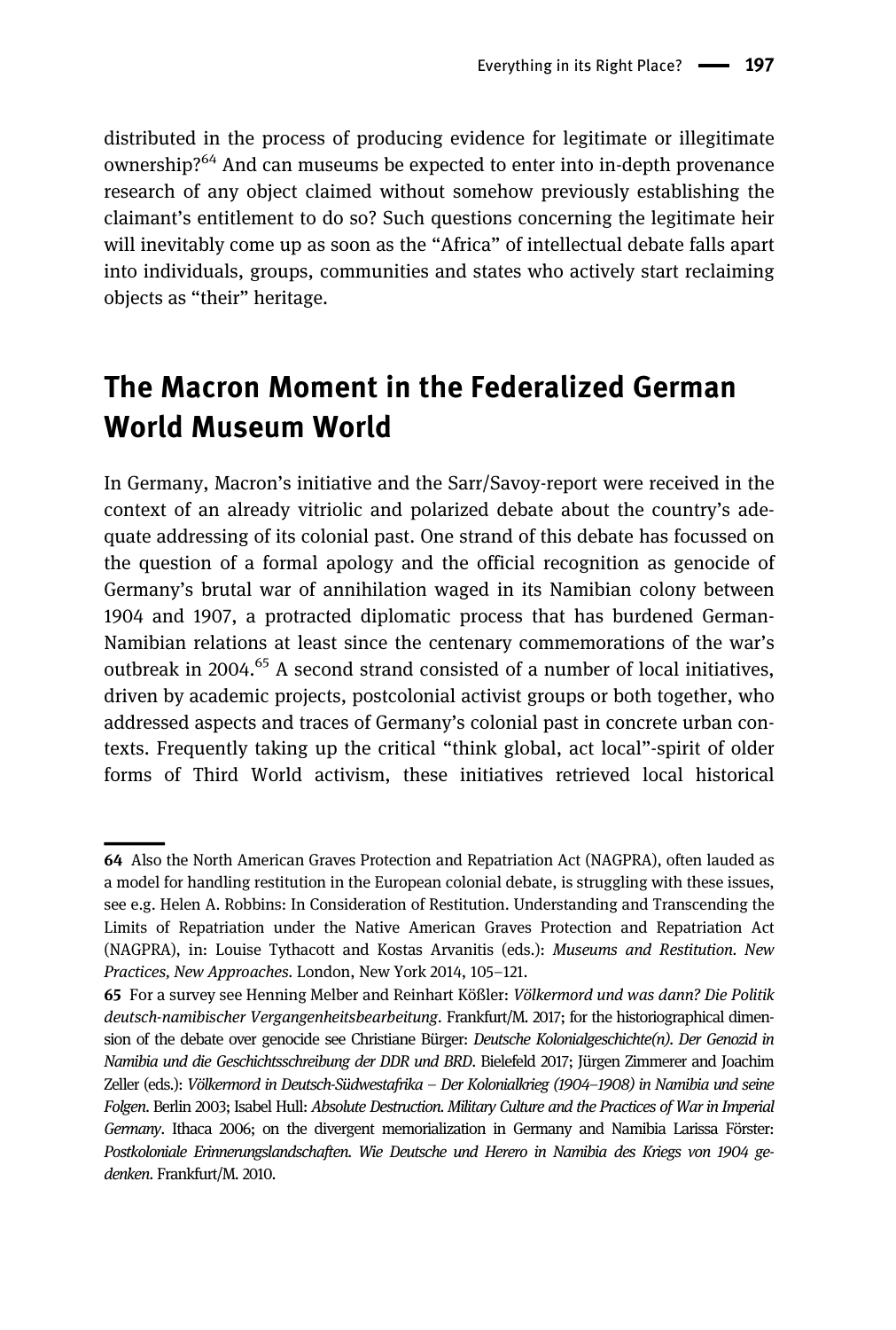distributed in the process of producing evidence for legitimate or illegitimate ownership?<sup>64</sup> And can museums be expected to enter into in-depth provenance research of any object claimed without somehow previously establishing the claimant's entitlement to do so? Such questions concerning the legitimate heir will inevitably come up as soon as the "Africa" of intellectual debate falls apart into individuals, groups, communities and states who actively start reclaiming objects as "their" heritage.

# The Macron Moment in the Federalized German World Museum World

In Germany, Macron's initiative and the Sarr/Savoy-report were received in the context of an already vitriolic and polarized debate about the country's adequate addressing of its colonial past. One strand of this debate has focussed on the question of a formal apology and the official recognition as genocide of Germany's brutal war of annihilation waged in its Namibian colony between 1904 and 1907, a protracted diplomatic process that has burdened German-Namibian relations at least since the centenary commemorations of the war's outbreak in 2004.<sup>65</sup> A second strand consisted of a number of local initiatives, driven by academic projects, postcolonial activist groups or both together, who addressed aspects and traces of Germany's colonial past in concrete urban contexts. Frequently taking up the critical "think global, act local"-spirit of older forms of Third World activism, these initiatives retrieved local historical

<sup>64</sup> Also the North American Graves Protection and Repatriation Act (NAGPRA), often lauded as a model for handling restitution in the European colonial debate, is struggling with these issues, see e.g. Helen A. Robbins: In Consideration of Restitution. Understanding and Transcending the Limits of Repatriation under the Native American Graves Protection and Repatriation Act (NAGPRA), in: Louise Tythacott and Kostas Arvanitis (eds.): Museums and Restitution. New Practices, New Approaches. London, New York 2014, 105–121.

<sup>65</sup> For a survey see Henning Melber and Reinhart Kößler: Völkermord und was dann? Die Politik deutsch-namibischer Vergangenheitsbearbeitung. Frankfurt/M. 2017; for the historiographical dimension of the debate over genocide see Christiane Bürger: Deutsche Kolonialgeschichte(n). Der Genozid in Namibia und die Geschichtsschreibung der DDR und BRD. Bielefeld 2017; Jürgen Zimmerer and Joachim Zeller (eds.): Völkermord in Deutsch-Südwestafrika – Der Kolonialkrieg (1904–1908) in Namibia und seine Folgen. Berlin 2003; Isabel Hull: Absolute Destruction. Military Culture and the Practices of War in Imperial Germany. Ithaca 2006; on the divergent memorialization in Germany and Namibia Larissa Förster: Postkoloniale Erinnerungslandschaften. Wie Deutsche und Herero in Namibia des Kriegs von 1904 gedenken. Frankfurt/M. 2010.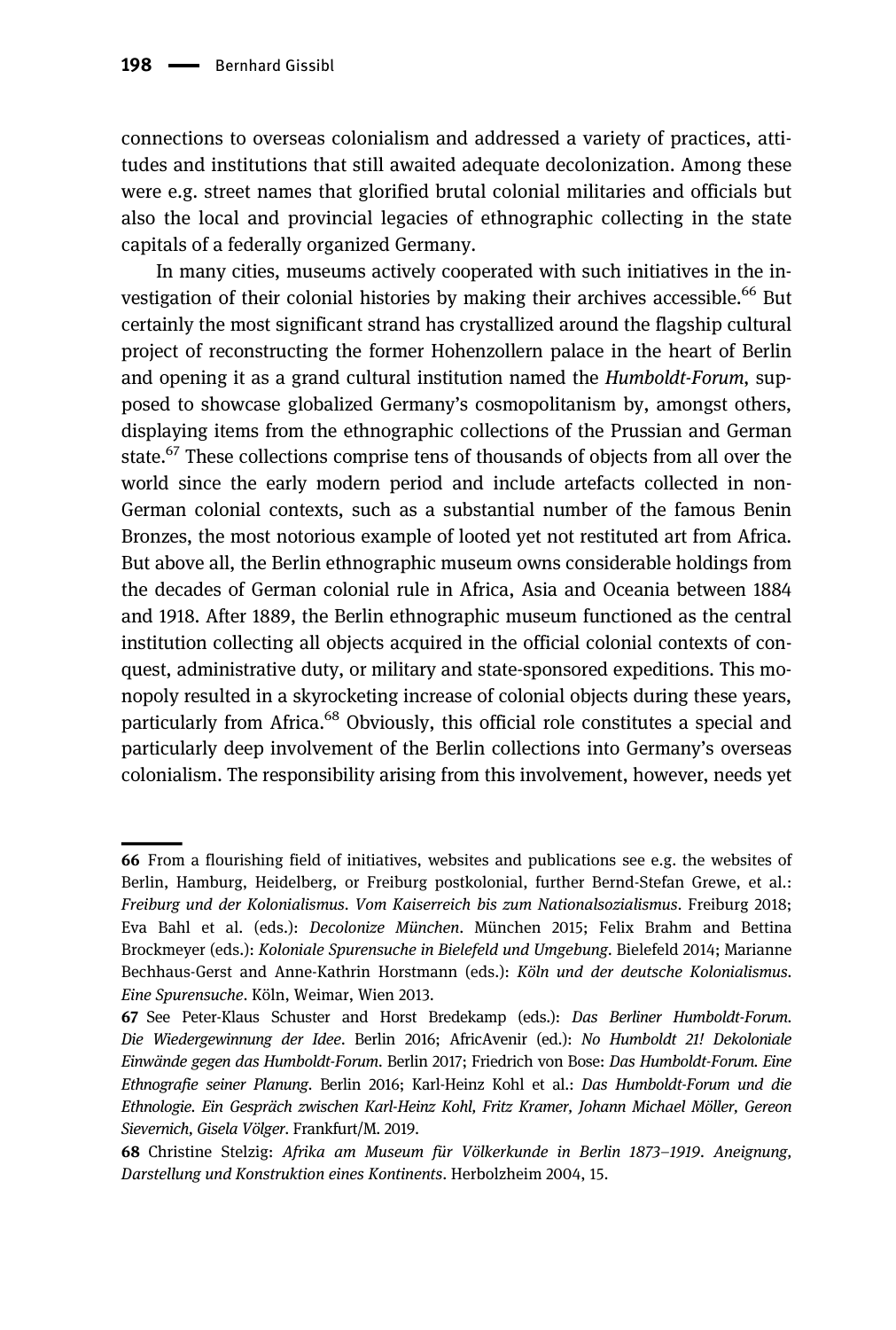connections to overseas colonialism and addressed a variety of practices, attitudes and institutions that still awaited adequate decolonization. Among these were e.g. street names that glorified brutal colonial militaries and officials but also the local and provincial legacies of ethnographic collecting in the state capitals of a federally organized Germany.

In many cities, museums actively cooperated with such initiatives in the investigation of their colonial histories by making their archives accessible.<sup>66</sup> But certainly the most significant strand has crystallized around the flagship cultural project of reconstructing the former Hohenzollern palace in the heart of Berlin and opening it as a grand cultural institution named the *Humboldt-Forum*, supposed to showcase globalized Germany's cosmopolitanism by, amongst others, displaying items from the ethnographic collections of the Prussian and German state.<sup>67</sup> These collections comprise tens of thousands of objects from all over the world since the early modern period and include artefacts collected in non-German colonial contexts, such as a substantial number of the famous Benin Bronzes, the most notorious example of looted yet not restituted art from Africa. But above all, the Berlin ethnographic museum owns considerable holdings from the decades of German colonial rule in Africa, Asia and Oceania between 1884 and 1918. After 1889, the Berlin ethnographic museum functioned as the central institution collecting all objects acquired in the official colonial contexts of conquest, administrative duty, or military and state-sponsored expeditions. This monopoly resulted in a skyrocketing increase of colonial objects during these years, particularly from Africa.<sup>68</sup> Obviously, this official role constitutes a special and particularly deep involvement of the Berlin collections into Germany's overseas colonialism. The responsibility arising from this involvement, however, needs yet

<sup>66</sup> From a flourishing field of initiatives, websites and publications see e.g. the websites of Berlin, Hamburg, Heidelberg, or Freiburg postkolonial, further Bernd-Stefan Grewe, et al.: Freiburg und der Kolonialismus. Vom Kaiserreich bis zum Nationalsozialismus. Freiburg 2018; Eva Bahl et al. (eds.): Decolonize München. München 2015; Felix Brahm and Bettina Brockmeyer (eds.): Koloniale Spurensuche in Bielefeld und Umgebung. Bielefeld 2014; Marianne Bechhaus-Gerst and Anne-Kathrin Horstmann (eds.): Köln und der deutsche Kolonialismus. Eine Spurensuche. Köln, Weimar, Wien 2013.

<sup>67</sup> See Peter-Klaus Schuster and Horst Bredekamp (eds.): Das Berliner Humboldt-Forum. Die Wiedergewinnung der Idee. Berlin 2016; AfricAvenir (ed.): No Humboldt 21! Dekoloniale Einwände gegen das Humboldt-Forum. Berlin 2017; Friedrich von Bose: Das Humboldt-Forum. Eine Ethnografie seiner Planung. Berlin 2016; Karl-Heinz Kohl et al.: Das Humboldt-Forum und die Ethnologie. Ein Gespräch zwischen Karl-Heinz Kohl, Fritz Kramer, Johann Michael Möller, Gereon Sievernich, Gisela Völger. Frankfurt/M. 2019.

<sup>68</sup> Christine Stelzig: Afrika am Museum für Völkerkunde in Berlin 1873–1919. Aneignung, Darstellung und Konstruktion eines Kontinents. Herbolzheim 2004, 15.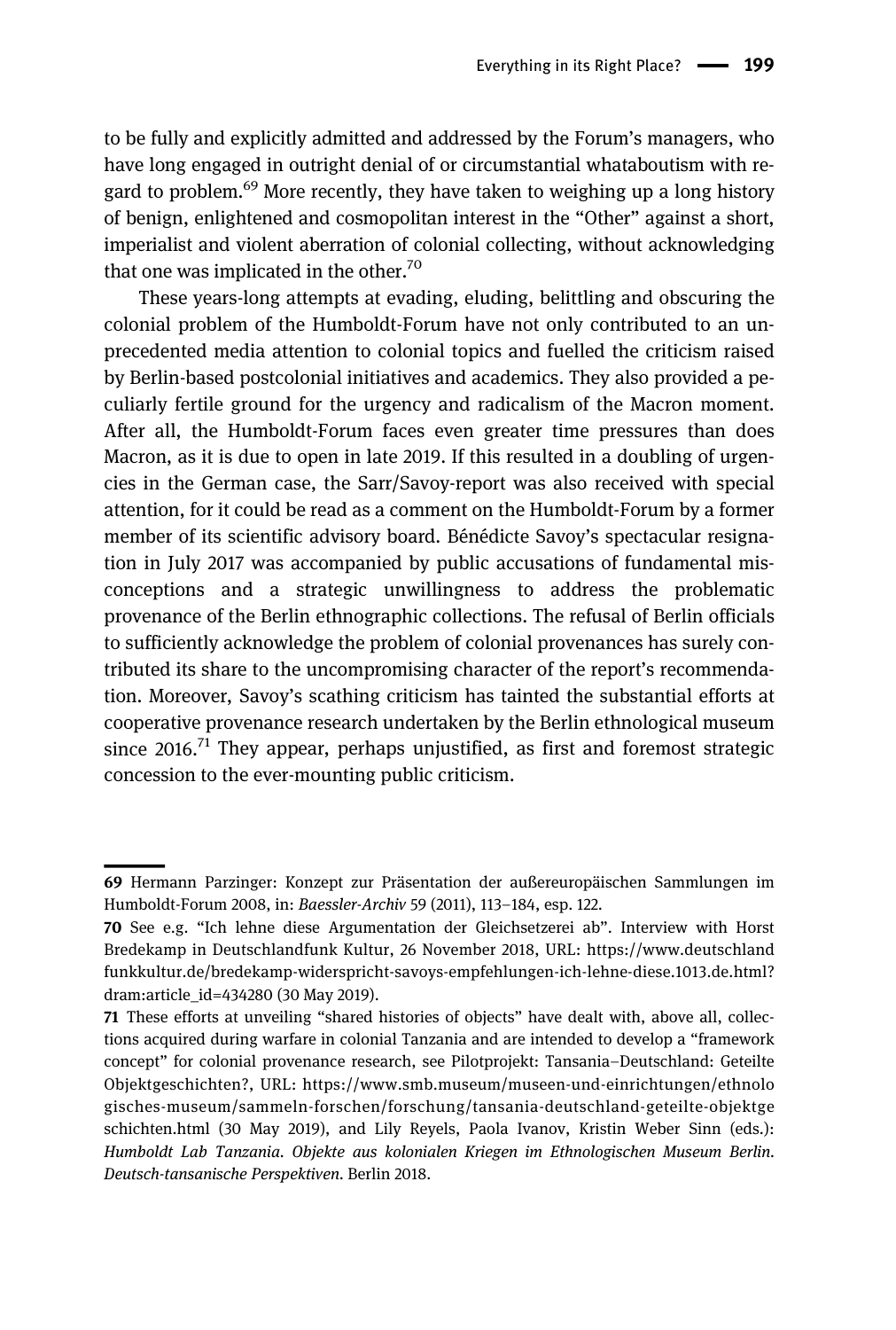to be fully and explicitly admitted and addressed by the Forum's managers, who have long engaged in outright denial of or circumstantial whataboutism with regard to problem.<sup>69</sup> More recently, they have taken to weighing up a long history of benign, enlightened and cosmopolitan interest in the "Other" against a short, imperialist and violent aberration of colonial collecting, without acknowledging that one was implicated in the other.<sup>70</sup>

These years-long attempts at evading, eluding, belittling and obscuring the colonial problem of the Humboldt-Forum have not only contributed to an unprecedented media attention to colonial topics and fuelled the criticism raised by Berlin-based postcolonial initiatives and academics. They also provided a peculiarly fertile ground for the urgency and radicalism of the Macron moment. After all, the Humboldt-Forum faces even greater time pressures than does Macron, as it is due to open in late 2019. If this resulted in a doubling of urgencies in the German case, the Sarr/Savoy-report was also received with special attention, for it could be read as a comment on the Humboldt-Forum by a former member of its scientific advisory board. Bénédicte Savoy's spectacular resignation in July 2017 was accompanied by public accusations of fundamental misconceptions and a strategic unwillingness to address the problematic provenance of the Berlin ethnographic collections. The refusal of Berlin officials to sufficiently acknowledge the problem of colonial provenances has surely contributed its share to the uncompromising character of the report's recommendation. Moreover, Savoy's scathing criticism has tainted the substantial efforts at cooperative provenance research undertaken by the Berlin ethnological museum since 2016.<sup>71</sup> They appear, perhaps unjustified, as first and foremost strategic concession to the ever-mounting public criticism.

<sup>69</sup> Hermann Parzinger: Konzept zur Präsentation der außereuropäischen Sammlungen im Humboldt-Forum 2008, in: Baessler-Archiv 59 (2011), 113–184, esp. 122.

<sup>70</sup> See e.g. "Ich lehne diese Argumentation der Gleichsetzerei ab". Interview with Horst Bredekamp in Deutschlandfunk Kultur, 26 November 2018, URL: [https://www.deutschland](https://www.deutschlandfunkkultur.de/bredekamp-widerspricht-savoys-empfehlungen-ich-lehne-diese.1013.de.html?dram:article_id=434280) [funkkultur.de/bredekamp-widerspricht-savoys-empfehlungen-ich-lehne-diese.1013.de.html?](https://www.deutschlandfunkkultur.de/bredekamp-widerspricht-savoys-empfehlungen-ich-lehne-diese.1013.de.html?dram:article_id=434280) [dram:article\\_id=434280](https://www.deutschlandfunkkultur.de/bredekamp-widerspricht-savoys-empfehlungen-ich-lehne-diese.1013.de.html?dram:article_id=434280) (30 May 2019).

<sup>71</sup> These efforts at unveiling "shared histories of objects" have dealt with, above all, collections acquired during warfare in colonial Tanzania and are intended to develop a "framework concept" for colonial provenance research, see Pilotprojekt: Tansania–Deutschland: Geteilte Objektgeschichten?, URL: [https://www.smb.museum/museen-und-einrichtungen/ethnolo](https://www.smb.museum/museen-und-einrichtungen/ethnologisches-museum/sammeln-forschen/forschung/tansania-deutschland-geteilte-objektgeschichten.html) [gisches-museum/sammeln-forschen/forschung/tansania-deutschland-geteilte-objektge](https://www.smb.museum/museen-und-einrichtungen/ethnologisches-museum/sammeln-forschen/forschung/tansania-deutschland-geteilte-objektgeschichten.html) [schichten.html](https://www.smb.museum/museen-und-einrichtungen/ethnologisches-museum/sammeln-forschen/forschung/tansania-deutschland-geteilte-objektgeschichten.html) (30 May 2019), and Lily Reyels, Paola Ivanov, Kristin Weber Sinn (eds.): Humboldt Lab Tanzania. Objekte aus kolonialen Kriegen im Ethnologischen Museum Berlin. Deutsch-tansanische Perspektiven. Berlin 2018.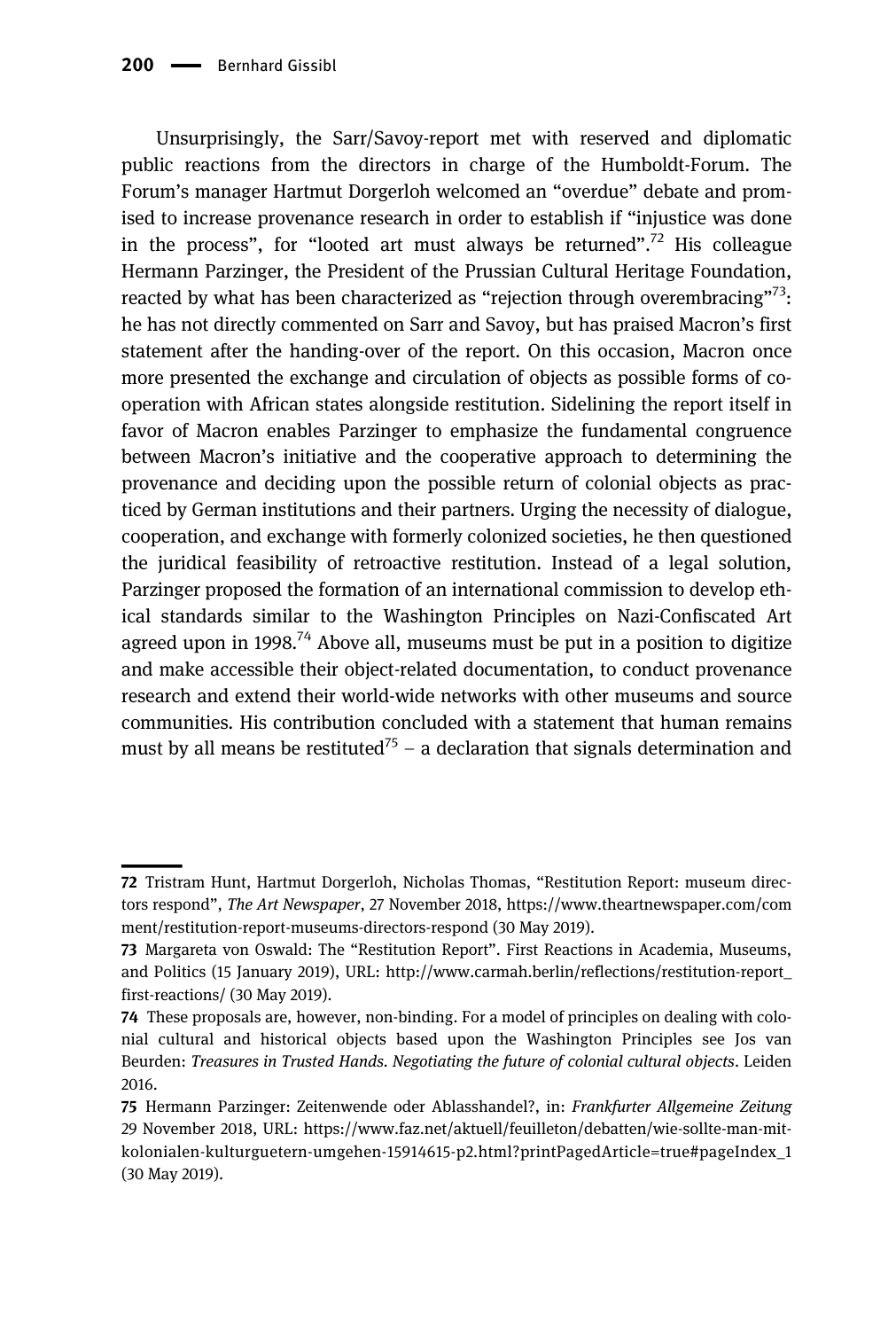Unsurprisingly, the Sarr/Savoy-report met with reserved and diplomatic public reactions from the directors in charge of the Humboldt-Forum. The Forum's manager Hartmut Dorgerloh welcomed an "overdue" debate and promised to increase provenance research in order to establish if "injustice was done in the process", for "looted art must always be returned".<sup>72</sup> His colleague Hermann Parzinger, the President of the Prussian Cultural Heritage Foundation, reacted by what has been characterized as "rejection through overembracing"<sup>73</sup>: he has not directly commented on Sarr and Savoy, but has praised Macron's first statement after the handing-over of the report. On this occasion, Macron once more presented the exchange and circulation of objects as possible forms of cooperation with African states alongside restitution. Sidelining the report itself in favor of Macron enables Parzinger to emphasize the fundamental congruence between Macron's initiative and the cooperative approach to determining the provenance and deciding upon the possible return of colonial objects as practiced by German institutions and their partners. Urging the necessity of dialogue, cooperation, and exchange with formerly colonized societies, he then questioned the juridical feasibility of retroactive restitution. Instead of a legal solution, Parzinger proposed the formation of an international commission to develop ethical standards similar to the Washington Principles on Nazi-Confiscated Art agreed upon in 1998.<sup>74</sup> Above all, museums must be put in a position to digitize and make accessible their object-related documentation, to conduct provenance research and extend their world-wide networks with other museums and source communities. His contribution concluded with a statement that human remains must by all means be restituted<sup>75</sup> – a declaration that signals determination and

<sup>72</sup> Tristram Hunt, Hartmut Dorgerloh, Nicholas Thomas, "Restitution Report: museum directors respond", The Art Newspaper, 27 November 2018, [https://www.theartnewspaper.com/com](https://www.theartnewspaper.com/comment/restitution-report-museums-directors-respond) [ment/restitution-report-museums-directors-respond](https://www.theartnewspaper.com/comment/restitution-report-museums-directors-respond) (30 May 2019).

<sup>73</sup> Margareta von Oswald: The "Restitution Report". First Reactions in Academia, Museums, and Politics (15 January 2019), URL: [http://www.carmah.berlin/reflections/restitution-report\\_](http://www.carmah.berlin/reflections/restitution-report_first-reactions/) [first-reactions/](http://www.carmah.berlin/reflections/restitution-report_first-reactions/) (30 May 2019).

<sup>74</sup> These proposals are, however, non-binding. For a model of principles on dealing with colonial cultural and historical objects based upon the Washington Principles see Jos van Beurden: Treasures in Trusted Hands. Negotiating the future of colonial cultural objects. Leiden 2016.

<sup>75</sup> Hermann Parzinger: Zeitenwende oder Ablasshandel?, in: Frankfurter Allgemeine Zeitung 29 November 2018, URL: [https://www.faz.net/aktuell/feuilleton/debatten/wie-sollte-man-mit](https://www.faz.net/aktuell/feuilleton/debatten/wie-sollte-man-mit-kolonialen-kulturguetern-umgehen-15914615-p2.html?printPagedArticle=true#pageIndex_1)[kolonialen-kulturguetern-umgehen-15914615-p2.html?printPagedArticle=true#pageIndex\\_1](https://www.faz.net/aktuell/feuilleton/debatten/wie-sollte-man-mit-kolonialen-kulturguetern-umgehen-15914615-p2.html?printPagedArticle=true#pageIndex_1) (30 May 2019).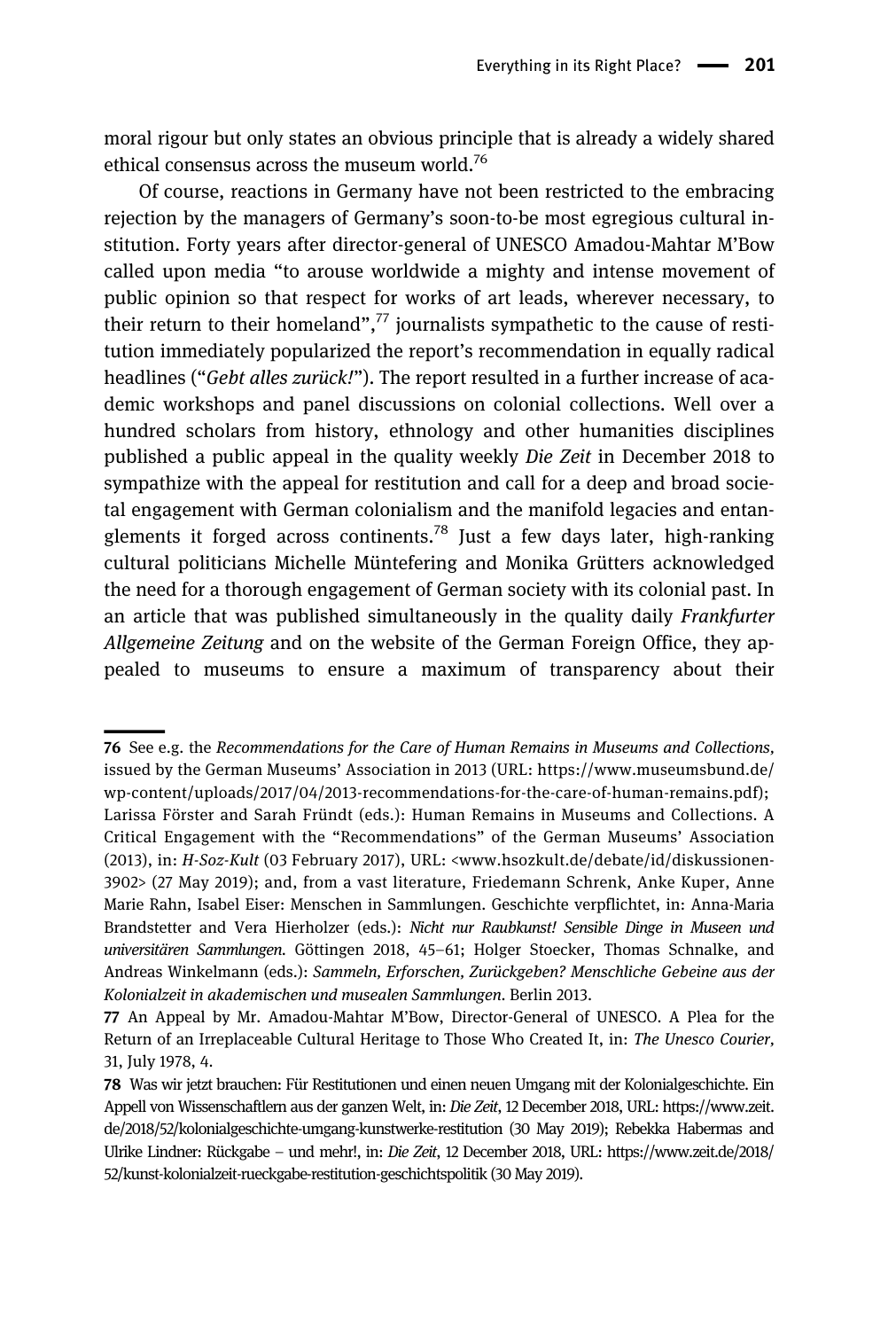moral rigour but only states an obvious principle that is already a widely shared ethical consensus across the museum world.<sup>76</sup>

Of course, reactions in Germany have not been restricted to the embracing rejection by the managers of Germany's soon-to-be most egregious cultural institution. Forty years after director-general of UNESCO Amadou-Mahtar M'Bow called upon media "to arouse worldwide a mighty and intense movement of public opinion so that respect for works of art leads, wherever necessary, to their return to their homeland",<sup>77</sup> journalists sympathetic to the cause of restitution immediately popularized the report's recommendation in equally radical headlines ("Gebt alles zurück!"). The report resulted in a further increase of academic workshops and panel discussions on colonial collections. Well over a hundred scholars from history, ethnology and other humanities disciplines published a public appeal in the quality weekly Die Zeit in December 2018 to sympathize with the appeal for restitution and call for a deep and broad societal engagement with German colonialism and the manifold legacies and entanglements it forged across continents.<sup>78</sup> Just a few days later, high-ranking cultural politicians Michelle Müntefering and Monika Grütters acknowledged the need for a thorough engagement of German society with its colonial past. In an article that was published simultaneously in the quality daily Frankfurter Allgemeine Zeitung and on the website of the German Foreign Office, they appealed to museums to ensure a maximum of transparency about their

<sup>76</sup> See e.g. the Recommendations for the Care of Human Remains in Museums and Collections, issued by the German Museums' Association in 2013 (URL: [https://www.museumsbund.de/](https://www.museumsbund.de/wp-content/uploads/2017/04/2013-recommendations-for-the-care-of-human-remains.pdf) [wp-content/uploads/2017/04/2013-recommendations-for-the-care-of-human-remains.pdf\)](https://www.museumsbund.de/wp-content/uploads/2017/04/2013-recommendations-for-the-care-of-human-remains.pdf); Larissa Förster and Sarah Fründt (eds.): Human Remains in Museums and Collections. A Critical Engagement with the "Recommendations" of the German Museums' Association (2013), in: H-Soz-Kult (03 February 2017), URL: [<www.hsozkult.de/debate/id/diskussionen-](http://www.hsozkult.de/debate/id/diskussionen-3902)[3902>](http://www.hsozkult.de/debate/id/diskussionen-3902) (27 May 2019); and, from a vast literature, Friedemann Schrenk, Anke Kuper, Anne Marie Rahn, Isabel Eiser: Menschen in Sammlungen. Geschichte verpflichtet, in: Anna-Maria Brandstetter and Vera Hierholzer (eds.): Nicht nur Raubkunst! Sensible Dinge in Museen und universitären Sammlungen. Göttingen 2018, 45–61; Holger Stoecker, Thomas Schnalke, and Andreas Winkelmann (eds.): Sammeln, Erforschen, Zurückgeben? Menschliche Gebeine aus der Kolonialzeit in akademischen und musealen Sammlungen. Berlin 2013.

<sup>77</sup> An Appeal by Mr. Amadou-Mahtar M'Bow, Director-General of UNESCO. A Plea for the Return of an Irreplaceable Cultural Heritage to Those Who Created It, in: The Unesco Courier, 31, July 1978, 4.

<sup>78</sup> Was wir jetzt brauchen: Für Restitutionen und einen neuen Umgang mit der Kolonialgeschichte. Ein Appell von Wissenschaftlern aus der ganzen Welt, in: Die Zeit, 12 December 2018, URL: [https://www.zeit.](https://www.zeit.de/2018/52/kolonialgeschichte-umgang-kunstwerke-restitution) [de/2018/52/kolonialgeschichte-umgang-kunstwerke-restitution](https://www.zeit.de/2018/52/kolonialgeschichte-umgang-kunstwerke-restitution) (30 May 2019); Rebekka Habermas and Ulrike Lindner: Rückgabe – und mehr!, in: Die Zeit, 12 December 2018, URL: [https://www.zeit.de/2018/](https://www.zeit.de/2018/52/kunst-kolonialzeit-rueckgabe-restitution-geschichtspolitik) [52/kunst-kolonialzeit-rueckgabe-restitution-geschichtspolitik](https://www.zeit.de/2018/52/kunst-kolonialzeit-rueckgabe-restitution-geschichtspolitik) (30 May 2019).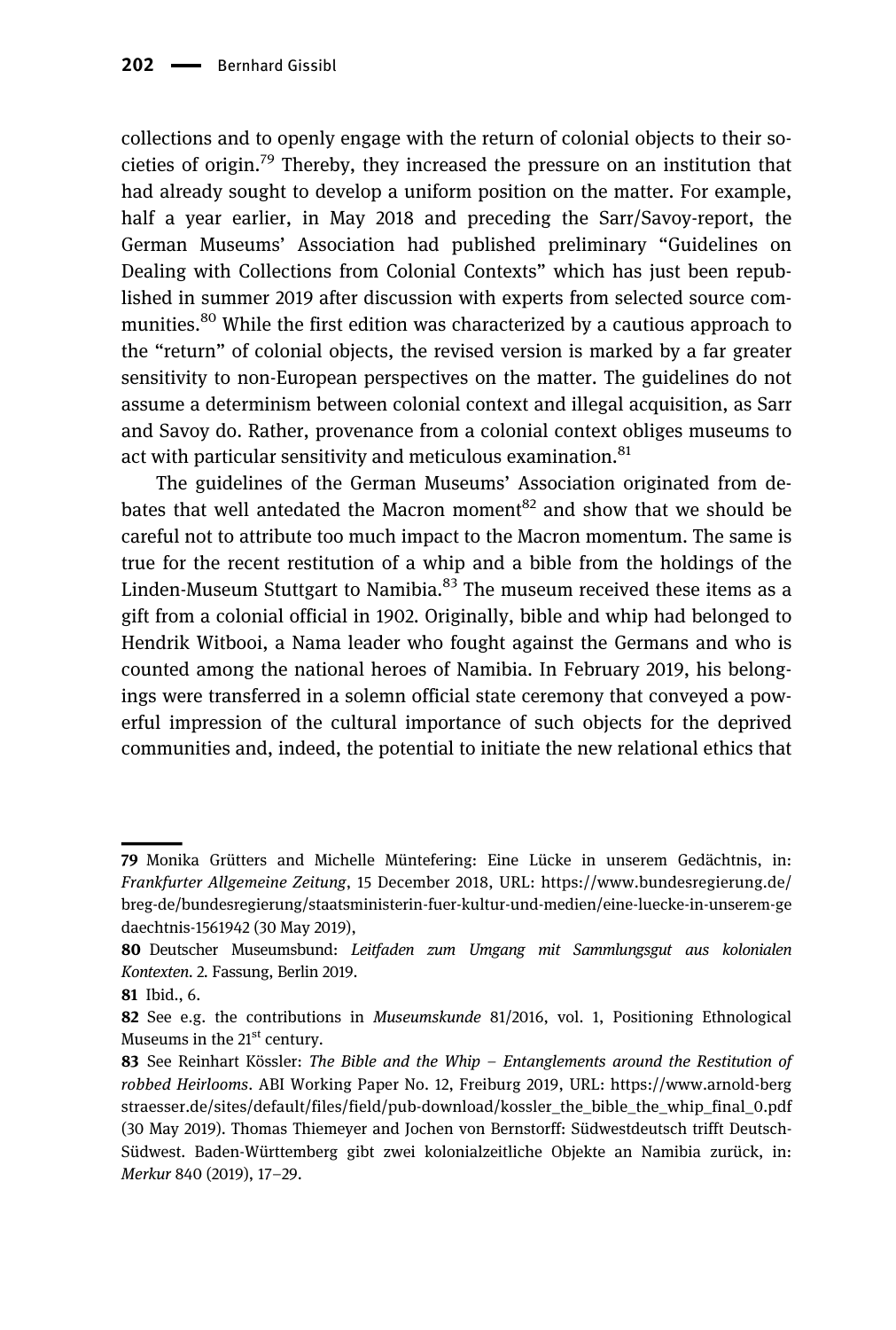collections and to openly engage with the return of colonial objects to their societies of origin.<sup>79</sup> Thereby, they increased the pressure on an institution that had already sought to develop a uniform position on the matter. For example, half a year earlier, in May 2018 and preceding the Sarr/Savoy-report, the German Museums' Association had published preliminary "Guidelines on Dealing with Collections from Colonial Contexts" which has just been republished in summer 2019 after discussion with experts from selected source communities.<sup>80</sup> While the first edition was characterized by a cautious approach to the "return" of colonial objects, the revised version is marked by a far greater sensitivity to non-European perspectives on the matter. The guidelines do not assume a determinism between colonial context and illegal acquisition, as Sarr and Savoy do. Rather, provenance from a colonial context obliges museums to act with particular sensitivity and meticulous examination.<sup>81</sup>

The guidelines of the German Museums' Association originated from debates that well antedated the Macron moment<sup>82</sup> and show that we should be careful not to attribute too much impact to the Macron momentum. The same is true for the recent restitution of a whip and a bible from the holdings of the Linden-Museum Stuttgart to Namibia. $^{83}$  The museum received these items as a gift from a colonial official in 1902. Originally, bible and whip had belonged to Hendrik Witbooi, a Nama leader who fought against the Germans and who is counted among the national heroes of Namibia. In February 2019, his belongings were transferred in a solemn official state ceremony that conveyed a powerful impression of the cultural importance of such objects for the deprived communities and, indeed, the potential to initiate the new relational ethics that

<sup>79</sup> Monika Grütters and Michelle Müntefering: Eine Lücke in unserem Gedächtnis, in: Frankfurter Allgemeine Zeitung, 15 December 2018, URL: [https://www.bundesregierung.de/](https://www.bundesregierung.de/breg-de/bundesregierung/staatsministerin-fuer-kultur-und-medien/eine-luecke-in-unserem-gedaechtnis-1561942) [breg-de/bundesregierung/staatsministerin-fuer-kultur-und-medien/eine-luecke-in-unserem-ge](https://www.bundesregierung.de/breg-de/bundesregierung/staatsministerin-fuer-kultur-und-medien/eine-luecke-in-unserem-gedaechtnis-1561942) [daechtnis-1561942](https://www.bundesregierung.de/breg-de/bundesregierung/staatsministerin-fuer-kultur-und-medien/eine-luecke-in-unserem-gedaechtnis-1561942) (30 May 2019),

<sup>80</sup> Deutscher Museumsbund: Leitfaden zum Umgang mit Sammlungsgut aus kolonialen Kontexten. 2. Fassung, Berlin 2019.

<sup>81</sup> Ibid., 6.

<sup>82</sup> See e.g. the contributions in *Museumskunde* 81/2016, vol. 1, Positioning Ethnological Museums in the  $21<sup>st</sup>$  century.

<sup>83</sup> See Reinhart Kössler: The Bible and the Whip  $-$  Entanglements around the Restitution of robbed Heirlooms. ABI Working Paper No. 12, Freiburg 2019, URL: [https://www.arnold-berg](https://www.arnold-bergstraesser.de/sites/default/files/field/pub-download/kossler_the_bible_the_whip_final_0.pdf) [straesser.de/sites/default/files/field/pub-download/kossler\\_the\\_bible\\_the\\_whip\\_final\\_0.pdf](https://www.arnold-bergstraesser.de/sites/default/files/field/pub-download/kossler_the_bible_the_whip_final_0.pdf) (30 May 2019). Thomas Thiemeyer and Jochen von Bernstorff: Südwestdeutsch trifft Deutsch-Südwest. Baden-Württemberg gibt zwei kolonialzeitliche Objekte an Namibia zurück, in: Merkur 840 (2019), 17–29.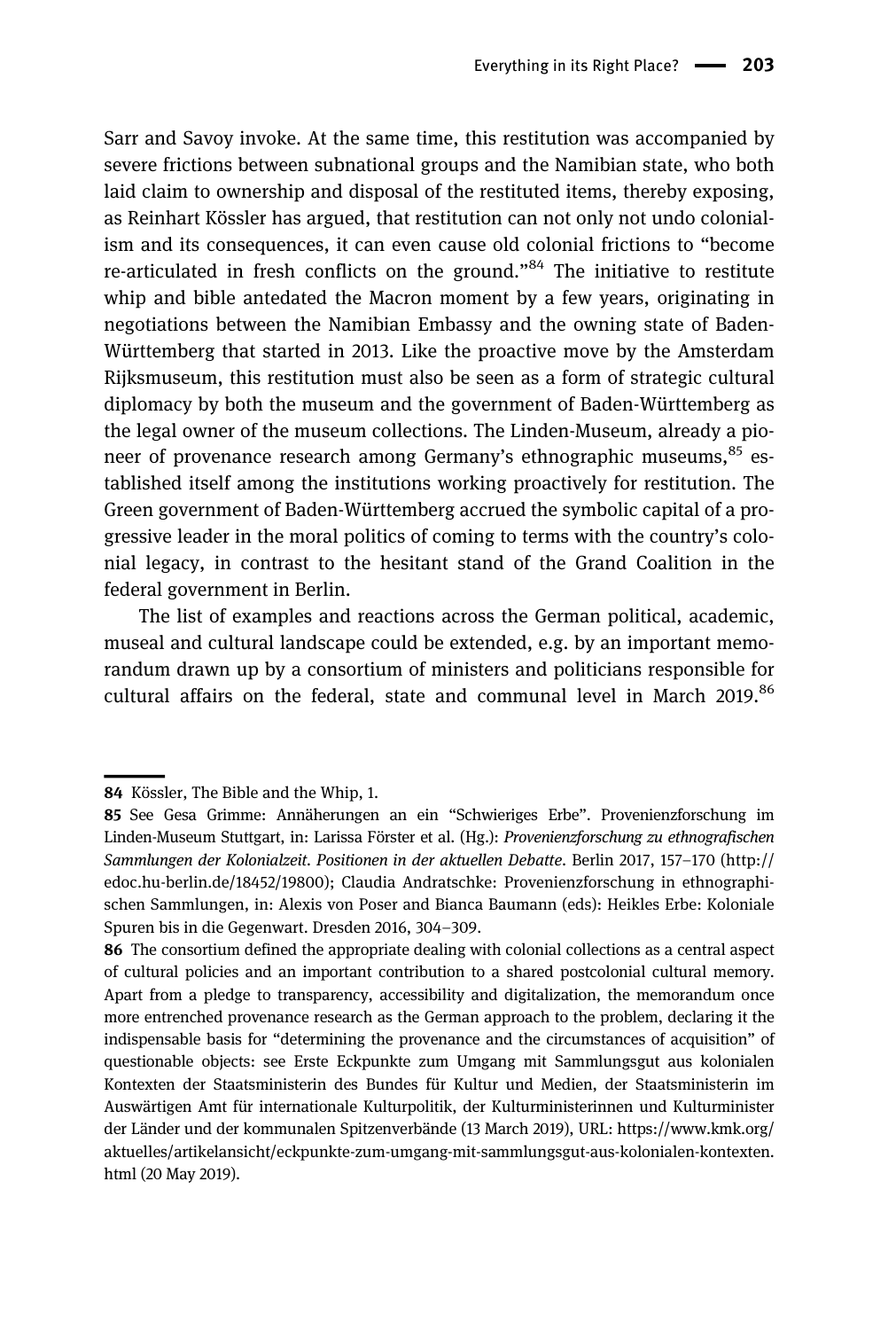Sarr and Savoy invoke. At the same time, this restitution was accompanied by severe frictions between subnational groups and the Namibian state, who both laid claim to ownership and disposal of the restituted items, thereby exposing, as Reinhart Kössler has argued, that restitution can not only not undo colonialism and its consequences, it can even cause old colonial frictions to "become re-articulated in fresh conflicts on the ground."<sup>84</sup> The initiative to restitute whip and bible antedated the Macron moment by a few years, originating in negotiations between the Namibian Embassy and the owning state of Baden-Württemberg that started in 2013. Like the proactive move by the Amsterdam Rijksmuseum, this restitution must also be seen as a form of strategic cultural diplomacy by both the museum and the government of Baden-Württemberg as the legal owner of the museum collections. The Linden-Museum, already a pioneer of provenance research among Germany's ethnographic museums,<sup>85</sup> established itself among the institutions working proactively for restitution. The Green government of Baden-Württemberg accrued the symbolic capital of a progressive leader in the moral politics of coming to terms with the country's colonial legacy, in contrast to the hesitant stand of the Grand Coalition in the federal government in Berlin.

The list of examples and reactions across the German political, academic, museal and cultural landscape could be extended, e.g. by an important memorandum drawn up by a consortium of ministers and politicians responsible for cultural affairs on the federal, state and communal level in March 2019.<sup>86</sup>

<sup>84</sup> Kössler, The Bible and the Whip, 1.

<sup>85</sup> See Gesa Grimme: Annäherungen an ein "Schwieriges Erbe". Provenienzforschung im Linden-Museum Stuttgart, in: Larissa Förster et al. (Hg.): Provenienzforschung zu ethnografischen Sammlungen der Kolonialzeit. Positionen in der aktuellen Debatte. Berlin 2017, 157–170 [\(http://](http://edoc.hu-berlin.de/18452/19800) [edoc.hu-berlin.de/18452/19800\)](http://edoc.hu-berlin.de/18452/19800); Claudia Andratschke: Provenienzforschung in ethnographischen Sammlungen, in: Alexis von Poser and Bianca Baumann (eds): Heikles Erbe: Koloniale Spuren bis in die Gegenwart. Dresden 2016, 304–309.

<sup>86</sup> The consortium defined the appropriate dealing with colonial collections as a central aspect of cultural policies and an important contribution to a shared postcolonial cultural memory. Apart from a pledge to transparency, accessibility and digitalization, the memorandum once more entrenched provenance research as the German approach to the problem, declaring it the indispensable basis for "determining the provenance and the circumstances of acquisition" of questionable objects: see Erste Eckpunkte zum Umgang mit Sammlungsgut aus kolonialen Kontexten der Staatsministerin des Bundes für Kultur und Medien, der Staatsministerin im Auswärtigen Amt für internationale Kulturpolitik, der Kulturministerinnen und Kulturminister der Länder und der kommunalen Spitzenverbände (13 March 2019), URL: [https://www.kmk.org/](https://www.kmk.org/aktuelles/artikelansicht/eckpunkte-zum-umgang-mit-sammlungsgut-aus-kolonialen-kontexten.html) [aktuelles/artikelansicht/eckpunkte-zum-umgang-mit-sammlungsgut-aus-kolonialen-kontexten.](https://www.kmk.org/aktuelles/artikelansicht/eckpunkte-zum-umgang-mit-sammlungsgut-aus-kolonialen-kontexten.html) [html](https://www.kmk.org/aktuelles/artikelansicht/eckpunkte-zum-umgang-mit-sammlungsgut-aus-kolonialen-kontexten.html) (20 May 2019).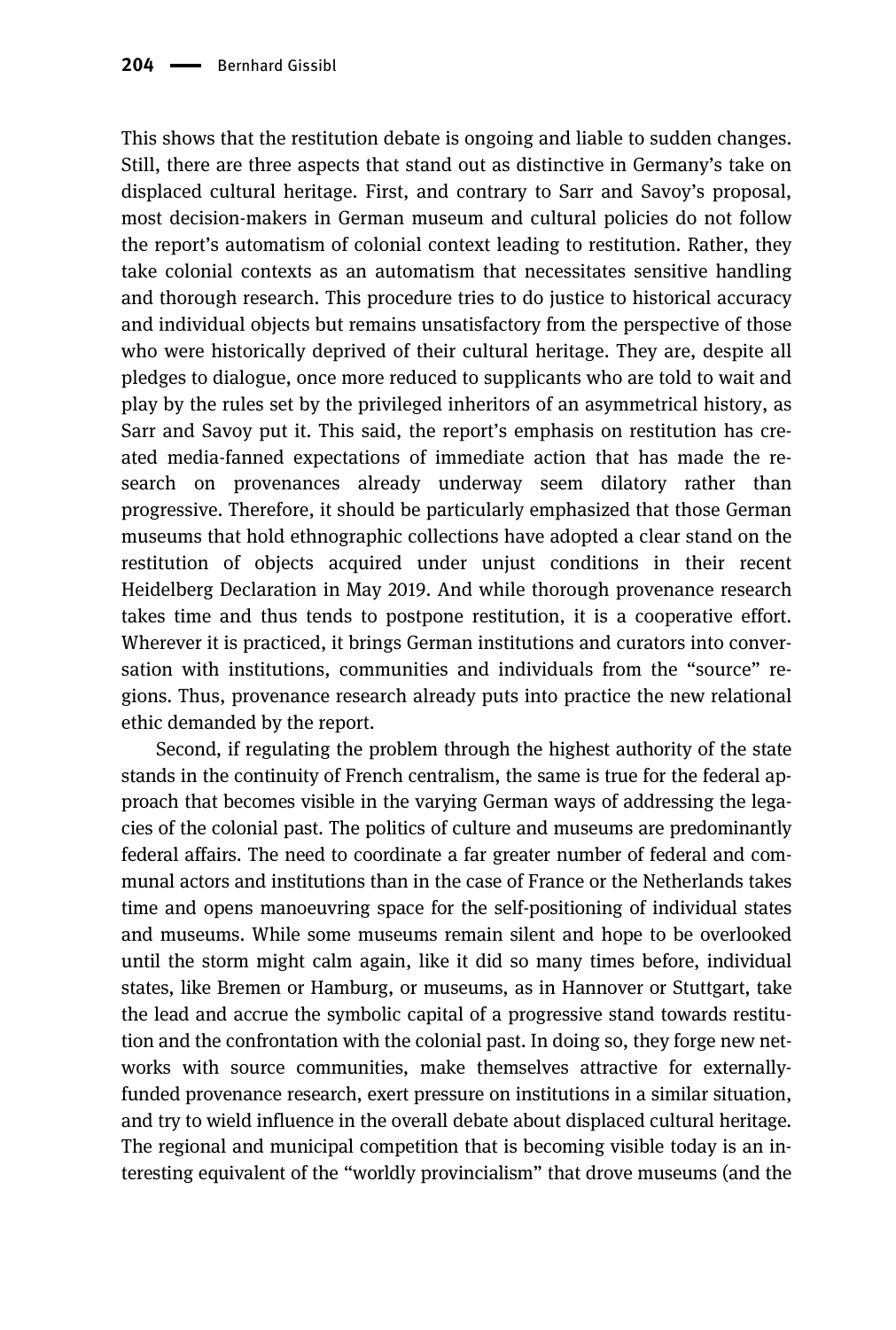This shows that the restitution debate is ongoing and liable to sudden changes. Still, there are three aspects that stand out as distinctive in Germany's take on displaced cultural heritage. First, and contrary to Sarr and Savoy's proposal, most decision-makers in German museum and cultural policies do not follow the report's automatism of colonial context leading to restitution. Rather, they take colonial contexts as an automatism that necessitates sensitive handling and thorough research. This procedure tries to do justice to historical accuracy and individual objects but remains unsatisfactory from the perspective of those who were historically deprived of their cultural heritage. They are, despite all pledges to dialogue, once more reduced to supplicants who are told to wait and play by the rules set by the privileged inheritors of an asymmetrical history, as Sarr and Savoy put it. This said, the report's emphasis on restitution has created media-fanned expectations of immediate action that has made the research on provenances already underway seem dilatory rather than progressive. Therefore, it should be particularly emphasized that those German museums that hold ethnographic collections have adopted a clear stand on the restitution of objects acquired under unjust conditions in their recent Heidelberg Declaration in May 2019. And while thorough provenance research takes time and thus tends to postpone restitution, it is a cooperative effort. Wherever it is practiced, it brings German institutions and curators into conversation with institutions, communities and individuals from the "source" regions. Thus, provenance research already puts into practice the new relational ethic demanded by the report.

Second, if regulating the problem through the highest authority of the state stands in the continuity of French centralism, the same is true for the federal approach that becomes visible in the varying German ways of addressing the legacies of the colonial past. The politics of culture and museums are predominantly federal affairs. The need to coordinate a far greater number of federal and communal actors and institutions than in the case of France or the Netherlands takes time and opens manoeuvring space for the self-positioning of individual states and museums. While some museums remain silent and hope to be overlooked until the storm might calm again, like it did so many times before, individual states, like Bremen or Hamburg, or museums, as in Hannover or Stuttgart, take the lead and accrue the symbolic capital of a progressive stand towards restitution and the confrontation with the colonial past. In doing so, they forge new networks with source communities, make themselves attractive for externallyfunded provenance research, exert pressure on institutions in a similar situation, and try to wield influence in the overall debate about displaced cultural heritage. The regional and municipal competition that is becoming visible today is an interesting equivalent of the "worldly provincialism" that drove museums (and the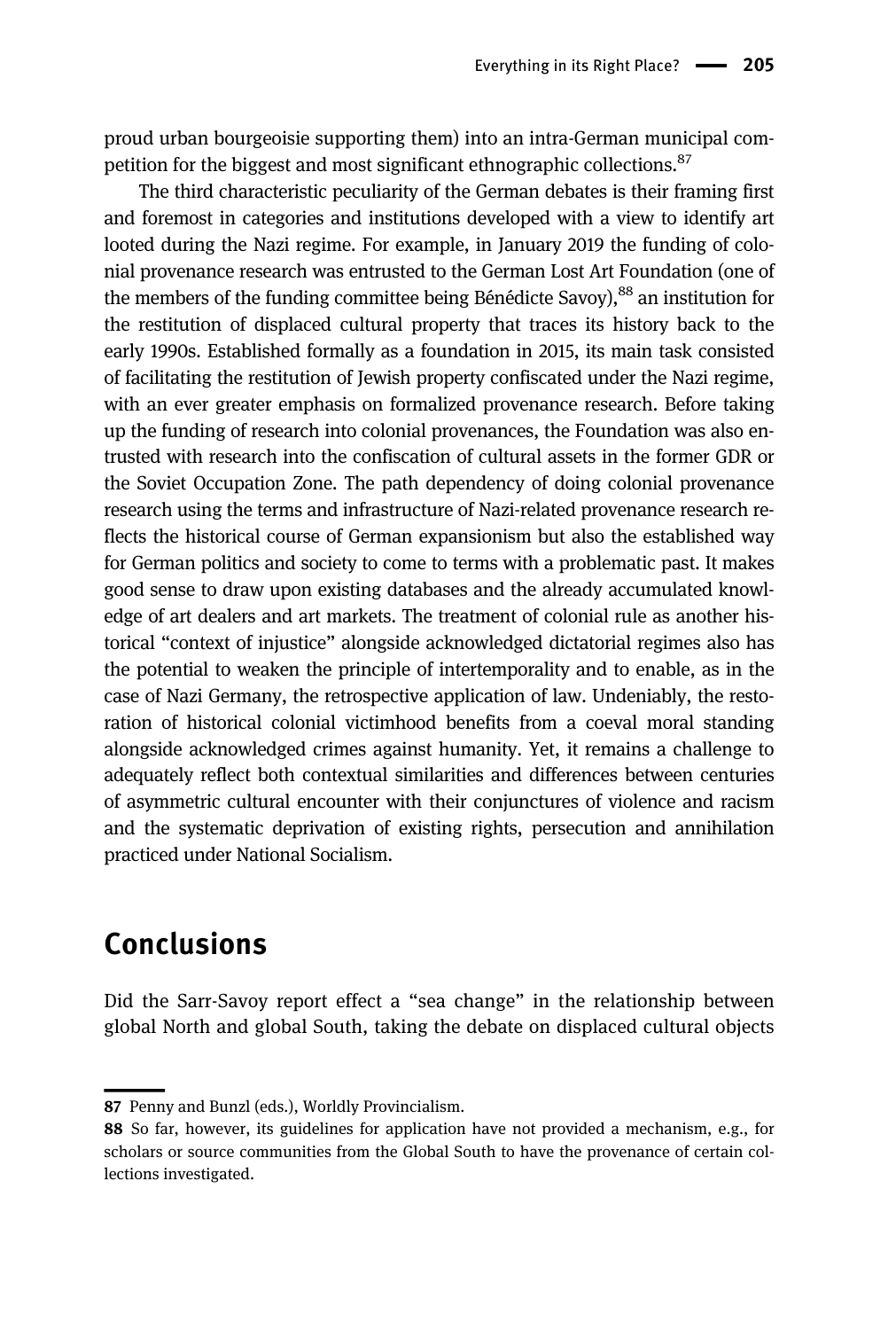proud urban bourgeoisie supporting them) into an intra-German municipal competition for the biggest and most significant ethnographic collections.<sup>87</sup>

The third characteristic peculiarity of the German debates is their framing first and foremost in categories and institutions developed with a view to identify art looted during the Nazi regime. For example, in January 2019 the funding of colonial provenance research was entrusted to the German Lost Art Foundation (one of the members of the funding committee being Bénédicte Savoy),<sup>88</sup> an institution for the restitution of displaced cultural property that traces its history back to the early 1990s. Established formally as a foundation in 2015, its main task consisted of facilitating the restitution of Jewish property confiscated under the Nazi regime, with an ever greater emphasis on formalized provenance research. Before taking up the funding of research into colonial provenances, the Foundation was also entrusted with research into the confiscation of cultural assets in the former GDR or the Soviet Occupation Zone. The path dependency of doing colonial provenance research using the terms and infrastructure of Nazi-related provenance research reflects the historical course of German expansionism but also the established way for German politics and society to come to terms with a problematic past. It makes good sense to draw upon existing databases and the already accumulated knowledge of art dealers and art markets. The treatment of colonial rule as another historical "context of injustice" alongside acknowledged dictatorial regimes also has the potential to weaken the principle of intertemporality and to enable, as in the case of Nazi Germany, the retrospective application of law. Undeniably, the restoration of historical colonial victimhood benefits from a coeval moral standing alongside acknowledged crimes against humanity. Yet, it remains a challenge to adequately reflect both contextual similarities and differences between centuries of asymmetric cultural encounter with their conjunctures of violence and racism and the systematic deprivation of existing rights, persecution and annihilation practiced under National Socialism.

### Conclusions

Did the Sarr-Savoy report effect a "sea change" in the relationship between global North and global South, taking the debate on displaced cultural objects

<sup>87</sup> Penny and Bunzl (eds.), Worldly Provincialism.

<sup>88</sup> So far, however, its guidelines for application have not provided a mechanism, e.g., for scholars or source communities from the Global South to have the provenance of certain collections investigated.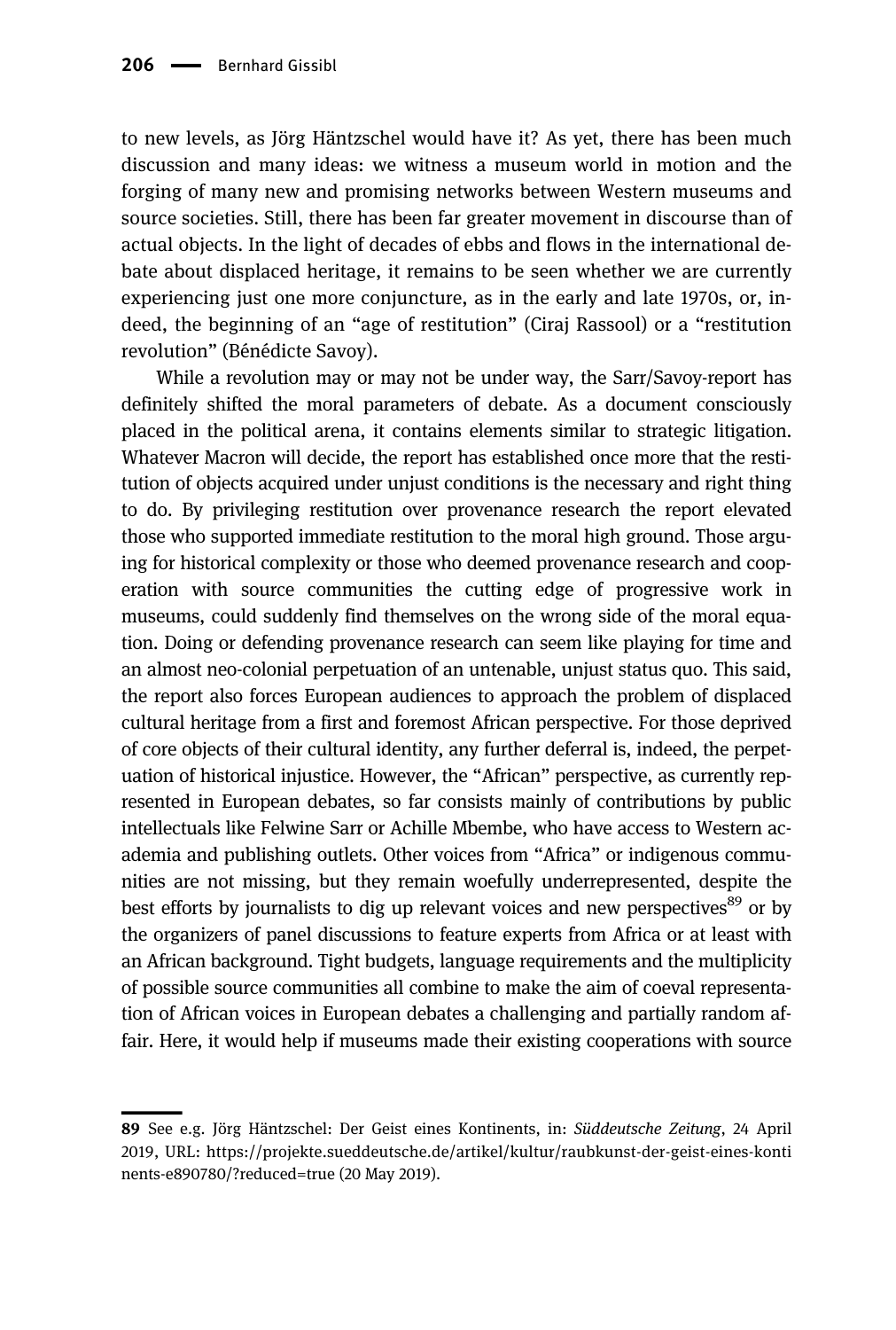to new levels, as Jörg Häntzschel would have it? As yet, there has been much discussion and many ideas: we witness a museum world in motion and the forging of many new and promising networks between Western museums and source societies. Still, there has been far greater movement in discourse than of actual objects. In the light of decades of ebbs and flows in the international debate about displaced heritage, it remains to be seen whether we are currently experiencing just one more conjuncture, as in the early and late 1970s, or, indeed, the beginning of an "age of restitution" (Ciraj Rassool) or a "restitution revolution" (Bénédicte Savoy).

While a revolution may or may not be under way, the Sarr/Savoy-report has definitely shifted the moral parameters of debate. As a document consciously placed in the political arena, it contains elements similar to strategic litigation. Whatever Macron will decide, the report has established once more that the restitution of objects acquired under unjust conditions is the necessary and right thing to do. By privileging restitution over provenance research the report elevated those who supported immediate restitution to the moral high ground. Those arguing for historical complexity or those who deemed provenance research and cooperation with source communities the cutting edge of progressive work in museums, could suddenly find themselves on the wrong side of the moral equation. Doing or defending provenance research can seem like playing for time and an almost neo-colonial perpetuation of an untenable, unjust status quo. This said, the report also forces European audiences to approach the problem of displaced cultural heritage from a first and foremost African perspective. For those deprived of core objects of their cultural identity, any further deferral is, indeed, the perpetuation of historical injustice. However, the "African" perspective, as currently represented in European debates, so far consists mainly of contributions by public intellectuals like Felwine Sarr or Achille Mbembe, who have access to Western academia and publishing outlets. Other voices from "Africa" or indigenous communities are not missing, but they remain woefully underrepresented, despite the best efforts by journalists to dig up relevant voices and new perspectives<sup>89</sup> or by the organizers of panel discussions to feature experts from Africa or at least with an African background. Tight budgets, language requirements and the multiplicity of possible source communities all combine to make the aim of coeval representation of African voices in European debates a challenging and partially random affair. Here, it would help if museums made their existing cooperations with source

<sup>89</sup> See e.g. Jörg Häntzschel: Der Geist eines Kontinents, in: Süddeutsche Zeitung, 24 April 2019, URL: [https://projekte.sueddeutsche.de/artikel/kultur/raubkunst-der-geist-eines-konti](https://projekte.sueddeutsche.de/artikel/kultur/raubkunst-der-geist-eines-kontinents-e890780/?reduced=true) [nents-e890780/?reduced=true](https://projekte.sueddeutsche.de/artikel/kultur/raubkunst-der-geist-eines-kontinents-e890780/?reduced=true) (20 May 2019).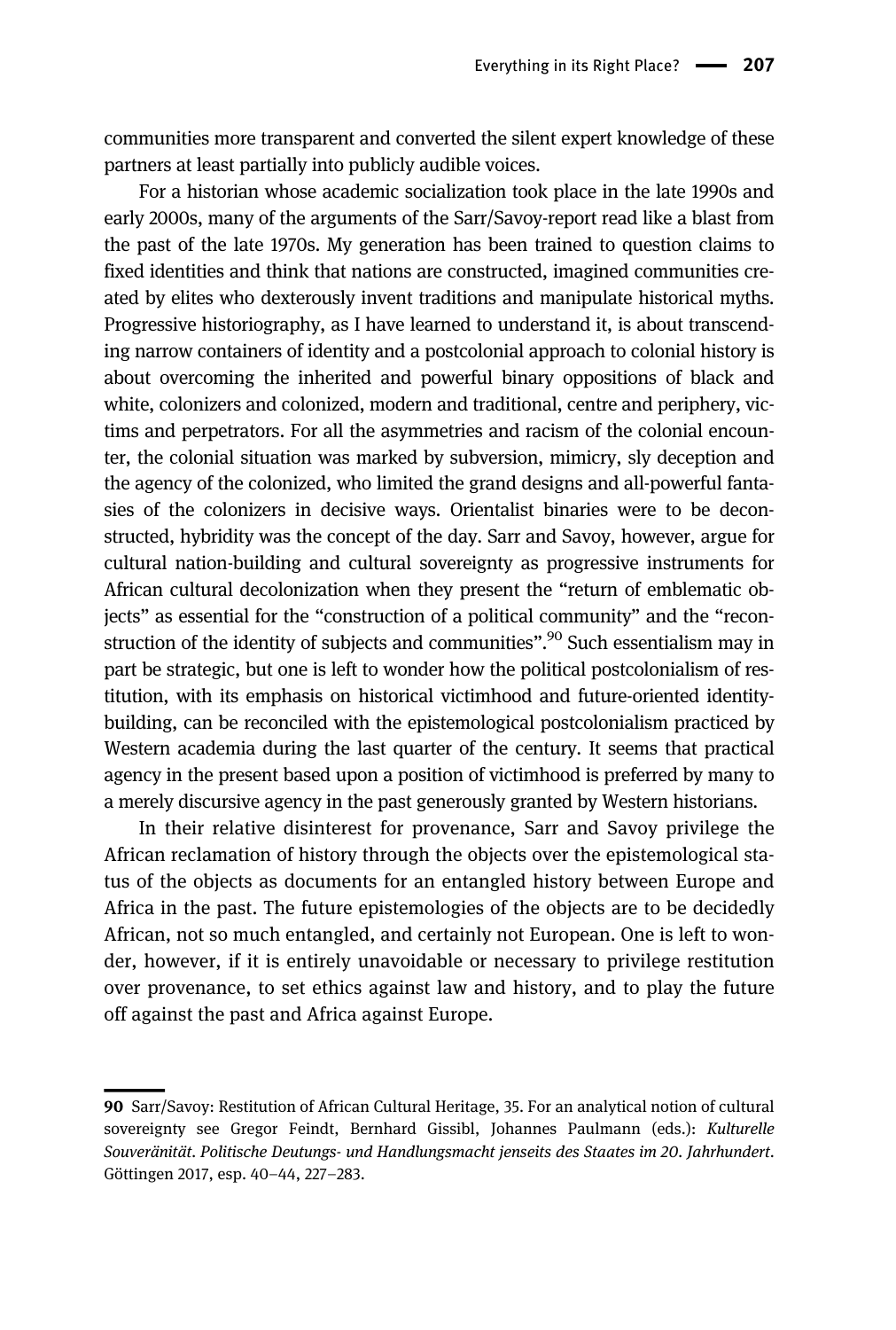communities more transparent and converted the silent expert knowledge of these partners at least partially into publicly audible voices.

For a historian whose academic socialization took place in the late 1990s and early 2000s, many of the arguments of the Sarr/Savoy-report read like a blast from the past of the late 1970s. My generation has been trained to question claims to fixed identities and think that nations are constructed, imagined communities created by elites who dexterously invent traditions and manipulate historical myths. Progressive historiography, as I have learned to understand it, is about transcending narrow containers of identity and a postcolonial approach to colonial history is about overcoming the inherited and powerful binary oppositions of black and white, colonizers and colonized, modern and traditional, centre and periphery, victims and perpetrators. For all the asymmetries and racism of the colonial encounter, the colonial situation was marked by subversion, mimicry, sly deception and the agency of the colonized, who limited the grand designs and all-powerful fantasies of the colonizers in decisive ways. Orientalist binaries were to be deconstructed, hybridity was the concept of the day. Sarr and Savoy, however, argue for cultural nation-building and cultural sovereignty as progressive instruments for African cultural decolonization when they present the "return of emblematic objects" as essential for the "construction of a political community" and the "reconstruction of the identity of subjects and communities".<sup>90</sup> Such essentialism may in part be strategic, but one is left to wonder how the political postcolonialism of restitution, with its emphasis on historical victimhood and future-oriented identitybuilding, can be reconciled with the epistemological postcolonialism practiced by Western academia during the last quarter of the century. It seems that practical agency in the present based upon a position of victimhood is preferred by many to a merely discursive agency in the past generously granted by Western historians.

In their relative disinterest for provenance, Sarr and Savoy privilege the African reclamation of history through the objects over the epistemological status of the objects as documents for an entangled history between Europe and Africa in the past. The future epistemologies of the objects are to be decidedly African, not so much entangled, and certainly not European. One is left to wonder, however, if it is entirely unavoidable or necessary to privilege restitution over provenance, to set ethics against law and history, and to play the future off against the past and Africa against Europe.

<sup>90</sup> Sarr/Savoy: Restitution of African Cultural Heritage, 35. For an analytical notion of cultural sovereignty see Gregor Feindt, Bernhard Gissibl, Johannes Paulmann (eds.): Kulturelle Souveränität. Politische Deutungs- und Handlungsmacht jenseits des Staates im 20. Jahrhundert. Göttingen 2017, esp. 40–44, 227–283.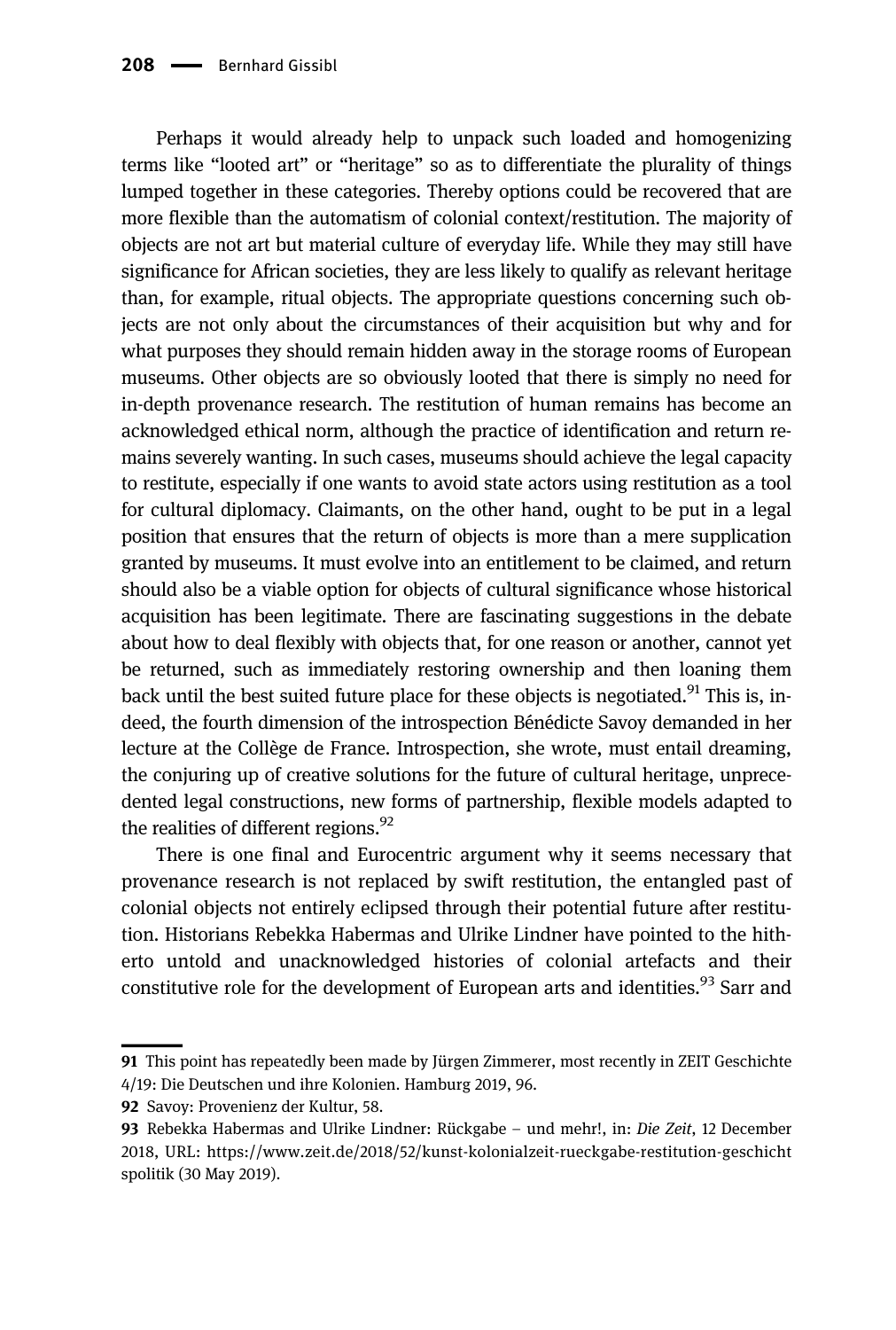Perhaps it would already help to unpack such loaded and homogenizing terms like "looted art" or "heritage" so as to differentiate the plurality of things lumped together in these categories. Thereby options could be recovered that are more flexible than the automatism of colonial context/restitution. The majority of objects are not art but material culture of everyday life. While they may still have significance for African societies, they are less likely to qualify as relevant heritage than, for example, ritual objects. The appropriate questions concerning such objects are not only about the circumstances of their acquisition but why and for what purposes they should remain hidden away in the storage rooms of European museums. Other objects are so obviously looted that there is simply no need for in-depth provenance research. The restitution of human remains has become an acknowledged ethical norm, although the practice of identification and return remains severely wanting. In such cases, museums should achieve the legal capacity to restitute, especially if one wants to avoid state actors using restitution as a tool for cultural diplomacy. Claimants, on the other hand, ought to be put in a legal position that ensures that the return of objects is more than a mere supplication granted by museums. It must evolve into an entitlement to be claimed, and return should also be a viable option for objects of cultural significance whose historical acquisition has been legitimate. There are fascinating suggestions in the debate about how to deal flexibly with objects that, for one reason or another, cannot yet be returned, such as immediately restoring ownership and then loaning them back until the best suited future place for these objects is negotiated.<sup>91</sup> This is, indeed, the fourth dimension of the introspection Bénédicte Savoy demanded in her lecture at the Collège de France. Introspection, she wrote, must entail dreaming, the conjuring up of creative solutions for the future of cultural heritage, unprecedented legal constructions, new forms of partnership, flexible models adapted to the realities of different regions. $^{92}$ 

There is one final and Eurocentric argument why it seems necessary that provenance research is not replaced by swift restitution, the entangled past of colonial objects not entirely eclipsed through their potential future after restitution. Historians Rebekka Habermas and Ulrike Lindner have pointed to the hitherto untold and unacknowledged histories of colonial artefacts and their constitutive role for the development of European arts and identities.<sup>93</sup> Sarr and

<sup>91</sup> This point has repeatedly been made by Jürgen Zimmerer, most recently in ZEIT Geschichte 4/19: Die Deutschen und ihre Kolonien. Hamburg 2019, 96.

<sup>92</sup> Savoy: Provenienz der Kultur, 58.

<sup>93</sup> Rebekka Habermas and Ulrike Lindner: Rückgabe – und mehr!, in: Die Zeit, 12 December 2018, URL: [https://www.zeit.de/2018/52/kunst-kolonialzeit-rueckgabe-restitution-geschicht](https://www.zeit.de/2018/52/kunst-kolonialzeit-rueckgabe-restitution-geschichtspolitik) [spolitik](https://www.zeit.de/2018/52/kunst-kolonialzeit-rueckgabe-restitution-geschichtspolitik) (30 May 2019).